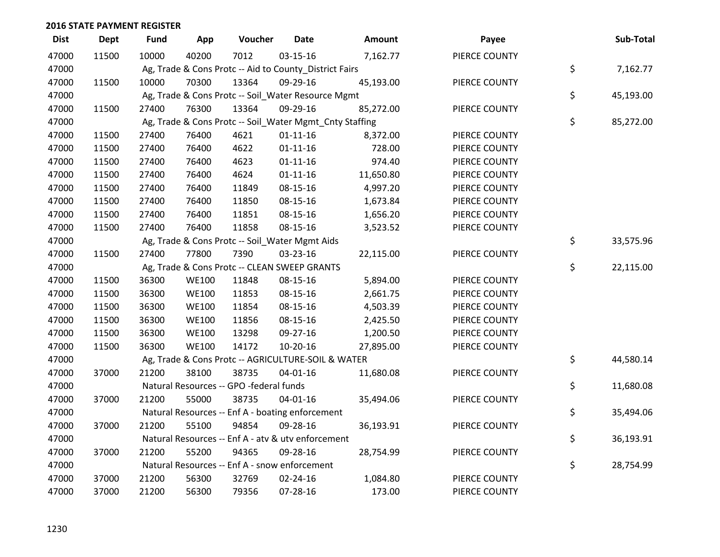| <b>Dist</b> | <b>Dept</b> | <b>Fund</b> | App          | Voucher                                                 | <b>Date</b>    | Amount    | Payee         | Sub-Total       |
|-------------|-------------|-------------|--------------|---------------------------------------------------------|----------------|-----------|---------------|-----------------|
| 47000       | 11500       | 10000       | 40200        | 7012                                                    | 03-15-16       | 7,162.77  | PIERCE COUNTY |                 |
| 47000       |             |             |              | Ag, Trade & Cons Protc -- Aid to County_District Fairs  |                |           |               | \$<br>7,162.77  |
| 47000       | 11500       | 10000       | 70300        | 13364                                                   | 09-29-16       | 45,193.00 | PIERCE COUNTY |                 |
| 47000       |             |             |              | Ag, Trade & Cons Protc -- Soil_Water Resource Mgmt      |                |           |               | \$<br>45,193.00 |
| 47000       | 11500       | 27400       | 76300        | 13364                                                   | 09-29-16       | 85,272.00 | PIERCE COUNTY |                 |
| 47000       |             |             |              | Ag, Trade & Cons Protc -- Soil_Water Mgmt_Cnty Staffing |                |           |               | \$<br>85,272.00 |
| 47000       | 11500       | 27400       | 76400        | 4621                                                    | $01 - 11 - 16$ | 8,372.00  | PIERCE COUNTY |                 |
| 47000       | 11500       | 27400       | 76400        | 4622                                                    | $01 - 11 - 16$ | 728.00    | PIERCE COUNTY |                 |
| 47000       | 11500       | 27400       | 76400        | 4623                                                    | $01 - 11 - 16$ | 974.40    | PIERCE COUNTY |                 |
| 47000       | 11500       | 27400       | 76400        | 4624                                                    | $01 - 11 - 16$ | 11,650.80 | PIERCE COUNTY |                 |
| 47000       | 11500       | 27400       | 76400        | 11849                                                   | 08-15-16       | 4,997.20  | PIERCE COUNTY |                 |
| 47000       | 11500       | 27400       | 76400        | 11850                                                   | 08-15-16       | 1,673.84  | PIERCE COUNTY |                 |
| 47000       | 11500       | 27400       | 76400        | 11851                                                   | 08-15-16       | 1,656.20  | PIERCE COUNTY |                 |
| 47000       | 11500       | 27400       | 76400        | 11858                                                   | 08-15-16       | 3,523.52  | PIERCE COUNTY |                 |
| 47000       |             |             |              | Ag, Trade & Cons Protc -- Soil_Water Mgmt Aids          |                |           |               | \$<br>33,575.96 |
| 47000       | 11500       | 27400       | 77800        | 7390                                                    | 03-23-16       | 22,115.00 | PIERCE COUNTY |                 |
| 47000       |             |             |              | Ag, Trade & Cons Protc -- CLEAN SWEEP GRANTS            |                |           |               | \$<br>22,115.00 |
| 47000       | 11500       | 36300       | <b>WE100</b> | 11848                                                   | 08-15-16       | 5,894.00  | PIERCE COUNTY |                 |
| 47000       | 11500       | 36300       | <b>WE100</b> | 11853                                                   | 08-15-16       | 2,661.75  | PIERCE COUNTY |                 |
| 47000       | 11500       | 36300       | <b>WE100</b> | 11854                                                   | 08-15-16       | 4,503.39  | PIERCE COUNTY |                 |
| 47000       | 11500       | 36300       | <b>WE100</b> | 11856                                                   | 08-15-16       | 2,425.50  | PIERCE COUNTY |                 |
| 47000       | 11500       | 36300       | <b>WE100</b> | 13298                                                   | 09-27-16       | 1,200.50  | PIERCE COUNTY |                 |
| 47000       | 11500       | 36300       | <b>WE100</b> | 14172                                                   | 10-20-16       | 27,895.00 | PIERCE COUNTY |                 |
| 47000       |             |             |              | Ag, Trade & Cons Protc -- AGRICULTURE-SOIL & WATER      |                |           |               | \$<br>44,580.14 |
| 47000       | 37000       | 21200       | 38100        | 38735                                                   | $04 - 01 - 16$ | 11,680.08 | PIERCE COUNTY |                 |
| 47000       |             |             |              | Natural Resources -- GPO -federal funds                 |                |           |               | \$<br>11,680.08 |
| 47000       | 37000       | 21200       | 55000        | 38735                                                   | 04-01-16       | 35,494.06 | PIERCE COUNTY |                 |
| 47000       |             |             |              | Natural Resources -- Enf A - boating enforcement        |                |           |               | \$<br>35,494.06 |
| 47000       | 37000       | 21200       | 55100        | 94854                                                   | 09-28-16       | 36,193.91 | PIERCE COUNTY |                 |
| 47000       |             |             |              | Natural Resources -- Enf A - atv & utv enforcement      |                |           |               | \$<br>36,193.91 |
| 47000       | 37000       | 21200       | 55200        | 94365                                                   | 09-28-16       | 28,754.99 | PIERCE COUNTY |                 |
| 47000       |             |             |              | Natural Resources -- Enf A - snow enforcement           |                |           |               | \$<br>28,754.99 |
| 47000       | 37000       | 21200       | 56300        | 32769                                                   | 02-24-16       | 1,084.80  | PIERCE COUNTY |                 |
| 47000       | 37000       | 21200       | 56300        | 79356                                                   | 07-28-16       | 173.00    | PIERCE COUNTY |                 |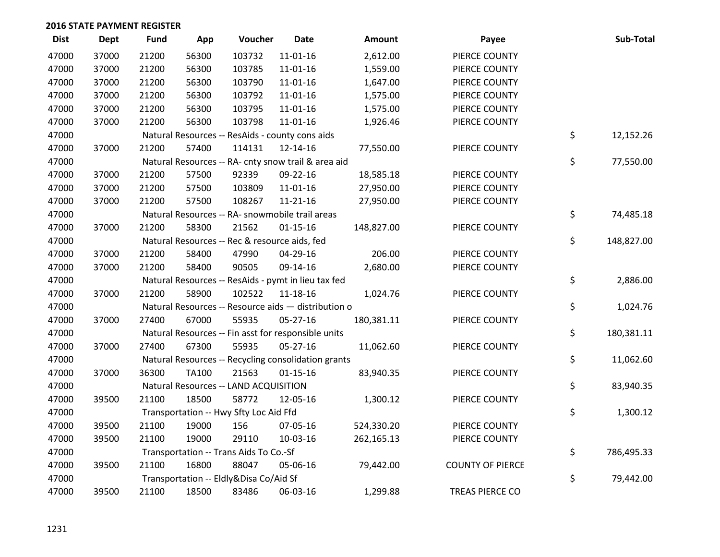| <b>Dist</b> | <b>Dept</b> | <b>Fund</b> | App   | Voucher                                             | <b>Date</b>    | Amount     | Payee                   | Sub-Total        |
|-------------|-------------|-------------|-------|-----------------------------------------------------|----------------|------------|-------------------------|------------------|
| 47000       | 37000       | 21200       | 56300 | 103732                                              | $11 - 01 - 16$ | 2,612.00   | PIERCE COUNTY           |                  |
| 47000       | 37000       | 21200       | 56300 | 103785                                              | 11-01-16       | 1,559.00   | PIERCE COUNTY           |                  |
| 47000       | 37000       | 21200       | 56300 | 103790                                              | $11 - 01 - 16$ | 1,647.00   | PIERCE COUNTY           |                  |
| 47000       | 37000       | 21200       | 56300 | 103792                                              | 11-01-16       | 1,575.00   | PIERCE COUNTY           |                  |
| 47000       | 37000       | 21200       | 56300 | 103795                                              | 11-01-16       | 1,575.00   | PIERCE COUNTY           |                  |
| 47000       | 37000       | 21200       | 56300 | 103798                                              | 11-01-16       | 1,926.46   | PIERCE COUNTY           |                  |
| 47000       |             |             |       | Natural Resources -- ResAids - county cons aids     |                |            |                         | \$<br>12,152.26  |
| 47000       | 37000       | 21200       | 57400 | 114131                                              | 12-14-16       | 77,550.00  | PIERCE COUNTY           |                  |
| 47000       |             |             |       | Natural Resources -- RA- cnty snow trail & area aid |                |            |                         | \$<br>77,550.00  |
| 47000       | 37000       | 21200       | 57500 | 92339                                               | 09-22-16       | 18,585.18  | PIERCE COUNTY           |                  |
| 47000       | 37000       | 21200       | 57500 | 103809                                              | 11-01-16       | 27,950.00  | PIERCE COUNTY           |                  |
| 47000       | 37000       | 21200       | 57500 | 108267                                              | $11 - 21 - 16$ | 27,950.00  | PIERCE COUNTY           |                  |
| 47000       |             |             |       | Natural Resources -- RA- snowmobile trail areas     |                |            |                         | \$<br>74,485.18  |
| 47000       | 37000       | 21200       | 58300 | 21562                                               | $01 - 15 - 16$ | 148,827.00 | PIERCE COUNTY           |                  |
| 47000       |             |             |       | Natural Resources -- Rec & resource aids, fed       |                |            |                         | \$<br>148,827.00 |
| 47000       | 37000       | 21200       | 58400 | 47990                                               | 04-29-16       | 206.00     | PIERCE COUNTY           |                  |
| 47000       | 37000       | 21200       | 58400 | 90505                                               | 09-14-16       | 2,680.00   | PIERCE COUNTY           |                  |
| 47000       |             |             |       | Natural Resources -- ResAids - pymt in lieu tax fed |                |            |                         | \$<br>2,886.00   |
| 47000       | 37000       | 21200       | 58900 | 102522                                              | $11 - 18 - 16$ | 1,024.76   | PIERCE COUNTY           |                  |
| 47000       |             |             |       | Natural Resources -- Resource aids - distribution o |                |            |                         | \$<br>1,024.76   |
| 47000       | 37000       | 27400       | 67000 | 55935                                               | 05-27-16       | 180,381.11 | PIERCE COUNTY           |                  |
| 47000       |             |             |       | Natural Resources -- Fin asst for responsible units |                |            |                         | \$<br>180,381.11 |
| 47000       | 37000       | 27400       | 67300 | 55935                                               | 05-27-16       | 11,062.60  | PIERCE COUNTY           |                  |
| 47000       |             |             |       | Natural Resources -- Recycling consolidation grants |                |            |                         | \$<br>11,062.60  |
| 47000       | 37000       | 36300       | TA100 | 21563                                               | $01 - 15 - 16$ | 83,940.35  | PIERCE COUNTY           |                  |
| 47000       |             |             |       | Natural Resources -- LAND ACQUISITION               |                |            |                         | \$<br>83,940.35  |
| 47000       | 39500       | 21100       | 18500 | 58772                                               | 12-05-16       | 1,300.12   | PIERCE COUNTY           |                  |
| 47000       |             |             |       | Transportation -- Hwy Sfty Loc Aid Ffd              |                |            |                         | \$<br>1,300.12   |
| 47000       | 39500       | 21100       | 19000 | 156                                                 | 07-05-16       | 524,330.20 | PIERCE COUNTY           |                  |
| 47000       | 39500       | 21100       | 19000 | 29110                                               | 10-03-16       | 262,165.13 | PIERCE COUNTY           |                  |
| 47000       |             |             |       | Transportation -- Trans Aids To Co.-Sf              |                |            |                         | \$<br>786,495.33 |
| 47000       | 39500       | 21100       | 16800 | 88047                                               | 05-06-16       | 79,442.00  | <b>COUNTY OF PIERCE</b> |                  |
| 47000       |             |             |       | Transportation -- Eldly&Disa Co/Aid Sf              |                |            |                         | \$<br>79,442.00  |
| 47000       | 39500       | 21100       | 18500 | 83486                                               | 06-03-16       | 1,299.88   | <b>TREAS PIERCE CO</b>  |                  |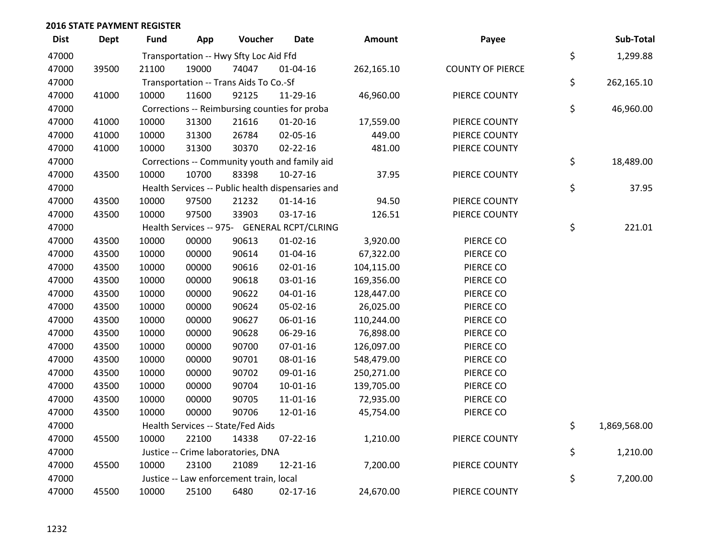| <b>Dist</b> | Dept  | <b>Fund</b> | App   | Voucher                                           | <b>Date</b>    | Amount     | Payee                   | Sub-Total          |
|-------------|-------|-------------|-------|---------------------------------------------------|----------------|------------|-------------------------|--------------------|
| 47000       |       |             |       | Transportation -- Hwy Sfty Loc Aid Ffd            |                |            |                         | \$<br>1,299.88     |
| 47000       | 39500 | 21100       | 19000 | 74047                                             | 01-04-16       | 262,165.10 | <b>COUNTY OF PIERCE</b> |                    |
| 47000       |       |             |       | Transportation -- Trans Aids To Co.-Sf            |                |            |                         | \$<br>262,165.10   |
| 47000       | 41000 | 10000       | 11600 | 92125                                             | 11-29-16       | 46,960.00  | PIERCE COUNTY           |                    |
| 47000       |       |             |       | Corrections -- Reimbursing counties for proba     |                |            |                         | \$<br>46,960.00    |
| 47000       | 41000 | 10000       | 31300 | 21616                                             | $01-20-16$     | 17,559.00  | PIERCE COUNTY           |                    |
| 47000       | 41000 | 10000       | 31300 | 26784                                             | 02-05-16       | 449.00     | PIERCE COUNTY           |                    |
| 47000       | 41000 | 10000       | 31300 | 30370                                             | $02 - 22 - 16$ | 481.00     | PIERCE COUNTY           |                    |
| 47000       |       |             |       | Corrections -- Community youth and family aid     |                |            |                         | \$<br>18,489.00    |
| 47000       | 43500 | 10000       | 10700 | 83398                                             | $10-27-16$     | 37.95      | PIERCE COUNTY           |                    |
| 47000       |       |             |       | Health Services -- Public health dispensaries and |                |            |                         | \$<br>37.95        |
| 47000       | 43500 | 10000       | 97500 | 21232                                             | $01 - 14 - 16$ | 94.50      | PIERCE COUNTY           |                    |
| 47000       | 43500 | 10000       | 97500 | 33903                                             | 03-17-16       | 126.51     | PIERCE COUNTY           |                    |
| 47000       |       |             |       | Health Services -- 975- GENERAL RCPT/CLRING       |                |            |                         | \$<br>221.01       |
| 47000       | 43500 | 10000       | 00000 | 90613                                             | $01 - 02 - 16$ | 3,920.00   | PIERCE CO               |                    |
| 47000       | 43500 | 10000       | 00000 | 90614                                             | $01 - 04 - 16$ | 67,322.00  | PIERCE CO               |                    |
| 47000       | 43500 | 10000       | 00000 | 90616                                             | $02 - 01 - 16$ | 104,115.00 | PIERCE CO               |                    |
| 47000       | 43500 | 10000       | 00000 | 90618                                             | 03-01-16       | 169,356.00 | PIERCE CO               |                    |
| 47000       | 43500 | 10000       | 00000 | 90622                                             | $04 - 01 - 16$ | 128,447.00 | PIERCE CO               |                    |
| 47000       | 43500 | 10000       | 00000 | 90624                                             | 05-02-16       | 26,025.00  | PIERCE CO               |                    |
| 47000       | 43500 | 10000       | 00000 | 90627                                             | 06-01-16       | 110,244.00 | PIERCE CO               |                    |
| 47000       | 43500 | 10000       | 00000 | 90628                                             | 06-29-16       | 76,898.00  | PIERCE CO               |                    |
| 47000       | 43500 | 10000       | 00000 | 90700                                             | $07 - 01 - 16$ | 126,097.00 | PIERCE CO               |                    |
| 47000       | 43500 | 10000       | 00000 | 90701                                             | 08-01-16       | 548,479.00 | PIERCE CO               |                    |
| 47000       | 43500 | 10000       | 00000 | 90702                                             | 09-01-16       | 250,271.00 | PIERCE CO               |                    |
| 47000       | 43500 | 10000       | 00000 | 90704                                             | $10-01-16$     | 139,705.00 | PIERCE CO               |                    |
| 47000       | 43500 | 10000       | 00000 | 90705                                             | 11-01-16       | 72,935.00  | PIERCE CO               |                    |
| 47000       | 43500 | 10000       | 00000 | 90706                                             | 12-01-16       | 45,754.00  | PIERCE CO               |                    |
| 47000       |       |             |       | Health Services -- State/Fed Aids                 |                |            |                         | \$<br>1,869,568.00 |
| 47000       | 45500 | 10000       | 22100 | 14338                                             | $07 - 22 - 16$ | 1,210.00   | PIERCE COUNTY           |                    |
| 47000       |       |             |       | Justice -- Crime laboratories, DNA                |                |            |                         | \$<br>1,210.00     |
| 47000       | 45500 | 10000       | 23100 | 21089                                             | 12-21-16       | 7,200.00   | PIERCE COUNTY           |                    |
| 47000       |       |             |       | Justice -- Law enforcement train, local           |                |            |                         | \$<br>7,200.00     |
| 47000       | 45500 | 10000       | 25100 | 6480                                              | $02 - 17 - 16$ | 24,670.00  | PIERCE COUNTY           |                    |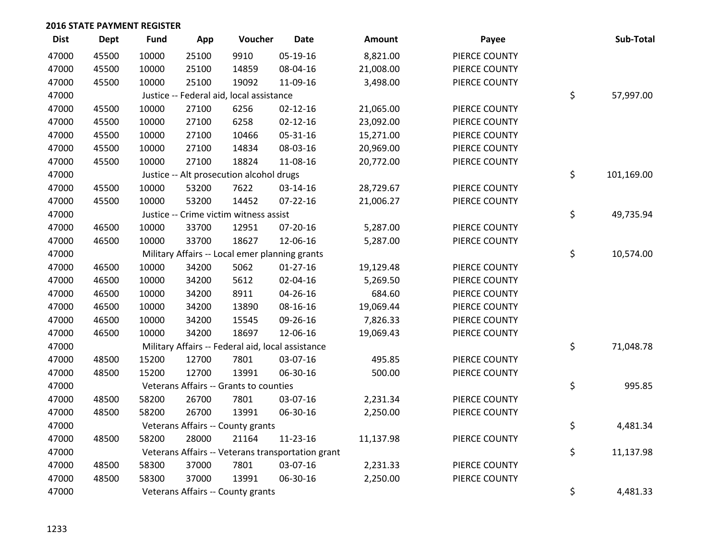| <b>Dist</b> | <b>Dept</b> | <b>Fund</b> | App   | Voucher                                           | <b>Date</b>                                       | Amount    | Payee         | Sub-Total        |
|-------------|-------------|-------------|-------|---------------------------------------------------|---------------------------------------------------|-----------|---------------|------------------|
| 47000       | 45500       | 10000       | 25100 | 9910                                              | 05-19-16                                          | 8,821.00  | PIERCE COUNTY |                  |
| 47000       | 45500       | 10000       | 25100 | 14859                                             | 08-04-16                                          | 21,008.00 | PIERCE COUNTY |                  |
| 47000       | 45500       | 10000       | 25100 | 19092                                             | 11-09-16                                          | 3,498.00  | PIERCE COUNTY |                  |
| 47000       |             |             |       | Justice -- Federal aid, local assistance          |                                                   |           |               | \$<br>57,997.00  |
| 47000       | 45500       | 10000       | 27100 | 6256                                              | $02 - 12 - 16$                                    | 21,065.00 | PIERCE COUNTY |                  |
| 47000       | 45500       | 10000       | 27100 | 6258                                              | $02 - 12 - 16$                                    | 23,092.00 | PIERCE COUNTY |                  |
| 47000       | 45500       | 10000       | 27100 | 10466                                             | 05-31-16                                          | 15,271.00 | PIERCE COUNTY |                  |
| 47000       | 45500       | 10000       | 27100 | 14834                                             | 08-03-16                                          | 20,969.00 | PIERCE COUNTY |                  |
| 47000       | 45500       | 10000       | 27100 | 18824                                             | 11-08-16                                          | 20,772.00 | PIERCE COUNTY |                  |
| 47000       |             |             |       | Justice -- Alt prosecution alcohol drugs          |                                                   |           |               | \$<br>101,169.00 |
| 47000       | 45500       | 10000       | 53200 | 7622                                              | 03-14-16                                          | 28,729.67 | PIERCE COUNTY |                  |
| 47000       | 45500       | 10000       | 53200 | 14452                                             | $07 - 22 - 16$                                    | 21,006.27 | PIERCE COUNTY |                  |
| 47000       |             |             |       | Justice -- Crime victim witness assist            |                                                   |           |               | \$<br>49,735.94  |
| 47000       | 46500       | 10000       | 33700 | 12951                                             | 07-20-16                                          | 5,287.00  | PIERCE COUNTY |                  |
| 47000       | 46500       | 10000       | 33700 | 18627                                             | 12-06-16                                          | 5,287.00  | PIERCE COUNTY |                  |
| 47000       |             |             |       | Military Affairs -- Local emer planning grants    |                                                   |           |               | \$<br>10,574.00  |
| 47000       | 46500       | 10000       | 34200 | 5062                                              | $01 - 27 - 16$                                    | 19,129.48 | PIERCE COUNTY |                  |
| 47000       | 46500       | 10000       | 34200 | 5612                                              | 02-04-16                                          | 5,269.50  | PIERCE COUNTY |                  |
| 47000       | 46500       | 10000       | 34200 | 8911                                              | 04-26-16                                          | 684.60    | PIERCE COUNTY |                  |
| 47000       | 46500       | 10000       | 34200 | 13890                                             | 08-16-16                                          | 19,069.44 | PIERCE COUNTY |                  |
| 47000       | 46500       | 10000       | 34200 | 15545                                             | 09-26-16                                          | 7,826.33  | PIERCE COUNTY |                  |
| 47000       | 46500       | 10000       | 34200 | 18697                                             | 12-06-16                                          | 19,069.43 | PIERCE COUNTY |                  |
| 47000       |             |             |       | Military Affairs -- Federal aid, local assistance |                                                   |           |               | \$<br>71,048.78  |
| 47000       | 48500       | 15200       | 12700 | 7801                                              | 03-07-16                                          | 495.85    | PIERCE COUNTY |                  |
| 47000       | 48500       | 15200       | 12700 | 13991                                             | 06-30-16                                          | 500.00    | PIERCE COUNTY |                  |
| 47000       |             |             |       | Veterans Affairs -- Grants to counties            |                                                   |           |               | \$<br>995.85     |
| 47000       | 48500       | 58200       | 26700 | 7801                                              | 03-07-16                                          | 2,231.34  | PIERCE COUNTY |                  |
| 47000       | 48500       | 58200       | 26700 | 13991                                             | 06-30-16                                          | 2,250.00  | PIERCE COUNTY |                  |
| 47000       |             |             |       | Veterans Affairs -- County grants                 |                                                   |           |               | \$<br>4,481.34   |
| 47000       | 48500       | 58200       | 28000 | 21164                                             | 11-23-16                                          | 11,137.98 | PIERCE COUNTY |                  |
| 47000       |             |             |       |                                                   | Veterans Affairs -- Veterans transportation grant |           |               | \$<br>11,137.98  |
| 47000       | 48500       | 58300       | 37000 | 7801                                              | 03-07-16                                          | 2,231.33  | PIERCE COUNTY |                  |
| 47000       | 48500       | 58300       | 37000 | 13991                                             | 06-30-16                                          | 2,250.00  | PIERCE COUNTY |                  |
| 47000       |             |             |       | Veterans Affairs -- County grants                 |                                                   |           |               | \$<br>4,481.33   |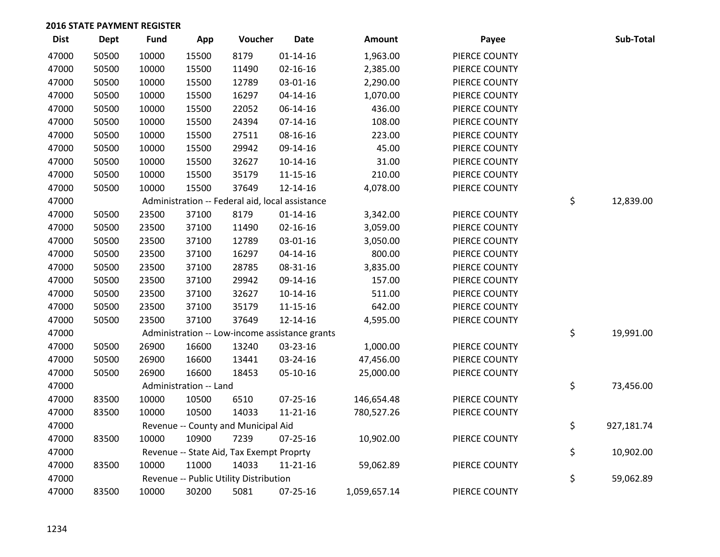| <b>Dist</b> | <b>Dept</b> | <b>Fund</b> | App                    | Voucher                                         | <b>Date</b>    | Amount       | Payee         | Sub-Total        |
|-------------|-------------|-------------|------------------------|-------------------------------------------------|----------------|--------------|---------------|------------------|
| 47000       | 50500       | 10000       | 15500                  | 8179                                            | $01 - 14 - 16$ | 1,963.00     | PIERCE COUNTY |                  |
| 47000       | 50500       | 10000       | 15500                  | 11490                                           | 02-16-16       | 2,385.00     | PIERCE COUNTY |                  |
| 47000       | 50500       | 10000       | 15500                  | 12789                                           | 03-01-16       | 2,290.00     | PIERCE COUNTY |                  |
| 47000       | 50500       | 10000       | 15500                  | 16297                                           | $04 - 14 - 16$ | 1,070.00     | PIERCE COUNTY |                  |
| 47000       | 50500       | 10000       | 15500                  | 22052                                           | 06-14-16       | 436.00       | PIERCE COUNTY |                  |
| 47000       | 50500       | 10000       | 15500                  | 24394                                           | $07 - 14 - 16$ | 108.00       | PIERCE COUNTY |                  |
| 47000       | 50500       | 10000       | 15500                  | 27511                                           | 08-16-16       | 223.00       | PIERCE COUNTY |                  |
| 47000       | 50500       | 10000       | 15500                  | 29942                                           | 09-14-16       | 45.00        | PIERCE COUNTY |                  |
| 47000       | 50500       | 10000       | 15500                  | 32627                                           | $10-14-16$     | 31.00        | PIERCE COUNTY |                  |
| 47000       | 50500       | 10000       | 15500                  | 35179                                           | $11 - 15 - 16$ | 210.00       | PIERCE COUNTY |                  |
| 47000       | 50500       | 10000       | 15500                  | 37649                                           | 12-14-16       | 4,078.00     | PIERCE COUNTY |                  |
| 47000       |             |             |                        | Administration -- Federal aid, local assistance |                |              |               | \$<br>12,839.00  |
| 47000       | 50500       | 23500       | 37100                  | 8179                                            | $01 - 14 - 16$ | 3,342.00     | PIERCE COUNTY |                  |
| 47000       | 50500       | 23500       | 37100                  | 11490                                           | $02 - 16 - 16$ | 3,059.00     | PIERCE COUNTY |                  |
| 47000       | 50500       | 23500       | 37100                  | 12789                                           | 03-01-16       | 3,050.00     | PIERCE COUNTY |                  |
| 47000       | 50500       | 23500       | 37100                  | 16297                                           | $04 - 14 - 16$ | 800.00       | PIERCE COUNTY |                  |
| 47000       | 50500       | 23500       | 37100                  | 28785                                           | 08-31-16       | 3,835.00     | PIERCE COUNTY |                  |
| 47000       | 50500       | 23500       | 37100                  | 29942                                           | 09-14-16       | 157.00       | PIERCE COUNTY |                  |
| 47000       | 50500       | 23500       | 37100                  | 32627                                           | $10-14-16$     | 511.00       | PIERCE COUNTY |                  |
| 47000       | 50500       | 23500       | 37100                  | 35179                                           | $11 - 15 - 16$ | 642.00       | PIERCE COUNTY |                  |
| 47000       | 50500       | 23500       | 37100                  | 37649                                           | $12 - 14 - 16$ | 4,595.00     | PIERCE COUNTY |                  |
| 47000       |             |             |                        | Administration -- Low-income assistance grants  |                |              |               | \$<br>19,991.00  |
| 47000       | 50500       | 26900       | 16600                  | 13240                                           | 03-23-16       | 1,000.00     | PIERCE COUNTY |                  |
| 47000       | 50500       | 26900       | 16600                  | 13441                                           | 03-24-16       | 47,456.00    | PIERCE COUNTY |                  |
| 47000       | 50500       | 26900       | 16600                  | 18453                                           | 05-10-16       | 25,000.00    | PIERCE COUNTY |                  |
| 47000       |             |             | Administration -- Land |                                                 |                |              |               | \$<br>73,456.00  |
| 47000       | 83500       | 10000       | 10500                  | 6510                                            | 07-25-16       | 146,654.48   | PIERCE COUNTY |                  |
| 47000       | 83500       | 10000       | 10500                  | 14033                                           | $11 - 21 - 16$ | 780,527.26   | PIERCE COUNTY |                  |
| 47000       |             |             |                        | Revenue -- County and Municipal Aid             |                |              |               | \$<br>927,181.74 |
| 47000       | 83500       | 10000       | 10900                  | 7239                                            | 07-25-16       | 10,902.00    | PIERCE COUNTY |                  |
| 47000       |             |             |                        | Revenue -- State Aid, Tax Exempt Proprty        |                |              |               | \$<br>10,902.00  |
| 47000       | 83500       | 10000       | 11000                  | 14033                                           | $11 - 21 - 16$ | 59,062.89    | PIERCE COUNTY |                  |
| 47000       |             |             |                        | Revenue -- Public Utility Distribution          |                |              |               | \$<br>59,062.89  |
| 47000       | 83500       | 10000       | 30200                  | 5081                                            | 07-25-16       | 1,059,657.14 | PIERCE COUNTY |                  |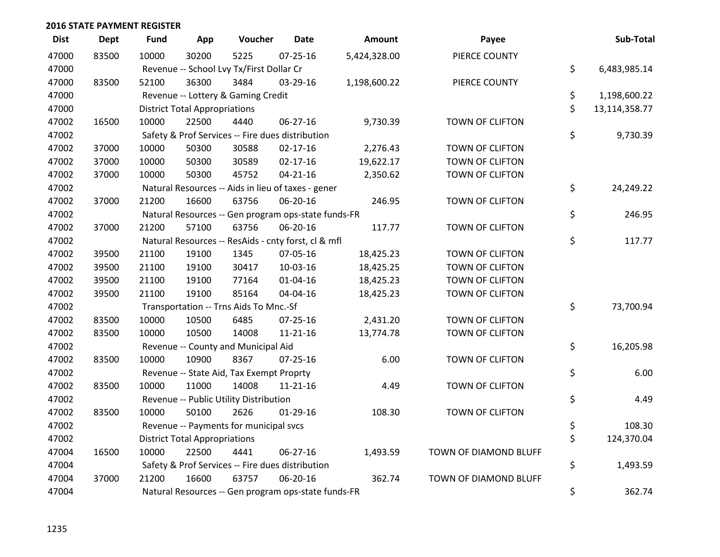| <b>Dist</b> | Dept  | <b>Fund</b> | App                                  | Voucher                                             | <b>Date</b>    | Amount       | Payee                  | Sub-Total           |
|-------------|-------|-------------|--------------------------------------|-----------------------------------------------------|----------------|--------------|------------------------|---------------------|
| 47000       | 83500 | 10000       | 30200                                | 5225                                                | $07 - 25 - 16$ | 5,424,328.00 | PIERCE COUNTY          |                     |
| 47000       |       |             |                                      | Revenue -- School Lvy Tx/First Dollar Cr            |                |              |                        | \$<br>6,483,985.14  |
| 47000       | 83500 | 52100       | 36300                                | 3484                                                | 03-29-16       | 1,198,600.22 | PIERCE COUNTY          |                     |
| 47000       |       |             |                                      | Revenue -- Lottery & Gaming Credit                  |                |              |                        | \$<br>1,198,600.22  |
| 47000       |       |             | <b>District Total Appropriations</b> |                                                     |                |              |                        | \$<br>13,114,358.77 |
| 47002       | 16500 | 10000       | 22500                                | 4440                                                | 06-27-16       | 9,730.39     | TOWN OF CLIFTON        |                     |
| 47002       |       |             |                                      | Safety & Prof Services -- Fire dues distribution    |                |              |                        | \$<br>9,730.39      |
| 47002       | 37000 | 10000       | 50300                                | 30588                                               | $02 - 17 - 16$ | 2,276.43     | <b>TOWN OF CLIFTON</b> |                     |
| 47002       | 37000 | 10000       | 50300                                | 30589                                               | $02 - 17 - 16$ | 19,622.17    | TOWN OF CLIFTON        |                     |
| 47002       | 37000 | 10000       | 50300                                | 45752                                               | $04 - 21 - 16$ | 2,350.62     | TOWN OF CLIFTON        |                     |
| 47002       |       |             |                                      | Natural Resources -- Aids in lieu of taxes - gener  |                |              |                        | \$<br>24,249.22     |
| 47002       | 37000 | 21200       | 16600                                | 63756                                               | 06-20-16       | 246.95       | <b>TOWN OF CLIFTON</b> |                     |
| 47002       |       |             |                                      | Natural Resources -- Gen program ops-state funds-FR |                |              |                        | \$<br>246.95        |
| 47002       | 37000 | 21200       | 57100                                | 63756                                               | 06-20-16       | 117.77       | TOWN OF CLIFTON        |                     |
| 47002       |       |             |                                      | Natural Resources -- ResAids - cnty forst, cl & mfl |                |              |                        | \$<br>117.77        |
| 47002       | 39500 | 21100       | 19100                                | 1345                                                | 07-05-16       | 18,425.23    | TOWN OF CLIFTON        |                     |
| 47002       | 39500 | 21100       | 19100                                | 30417                                               | 10-03-16       | 18,425.25    | <b>TOWN OF CLIFTON</b> |                     |
| 47002       | 39500 | 21100       | 19100                                | 77164                                               | 01-04-16       | 18,425.23    | TOWN OF CLIFTON        |                     |
| 47002       | 39500 | 21100       | 19100                                | 85164                                               | 04-04-16       | 18,425.23    | TOWN OF CLIFTON        |                     |
| 47002       |       |             |                                      | Transportation -- Trns Aids To Mnc.-Sf              |                |              |                        | \$<br>73,700.94     |
| 47002       | 83500 | 10000       | 10500                                | 6485                                                | 07-25-16       | 2,431.20     | TOWN OF CLIFTON        |                     |
| 47002       | 83500 | 10000       | 10500                                | 14008                                               | $11 - 21 - 16$ | 13,774.78    | TOWN OF CLIFTON        |                     |
| 47002       |       |             |                                      | Revenue -- County and Municipal Aid                 |                |              |                        | \$<br>16,205.98     |
| 47002       | 83500 | 10000       | 10900                                | 8367                                                | $07 - 25 - 16$ | 6.00         | <b>TOWN OF CLIFTON</b> |                     |
| 47002       |       |             |                                      | Revenue -- State Aid, Tax Exempt Proprty            |                |              |                        | \$<br>6.00          |
| 47002       | 83500 | 10000       | 11000                                | 14008                                               | $11 - 21 - 16$ | 4.49         | TOWN OF CLIFTON        |                     |
| 47002       |       |             |                                      | Revenue -- Public Utility Distribution              |                |              |                        | \$<br>4.49          |
| 47002       | 83500 | 10000       | 50100                                | 2626                                                | $01-29-16$     | 108.30       | <b>TOWN OF CLIFTON</b> |                     |
| 47002       |       |             |                                      | Revenue -- Payments for municipal svcs              |                |              |                        | \$<br>108.30        |
| 47002       |       |             | <b>District Total Appropriations</b> |                                                     |                |              |                        | \$<br>124,370.04    |
| 47004       | 16500 | 10000       | 22500                                | 4441                                                | 06-27-16       | 1,493.59     | TOWN OF DIAMOND BLUFF  |                     |
| 47004       |       |             |                                      | Safety & Prof Services -- Fire dues distribution    |                |              |                        | \$<br>1,493.59      |
| 47004       | 37000 | 21200       | 16600                                | 63757                                               | 06-20-16       | 362.74       | TOWN OF DIAMOND BLUFF  |                     |
| 47004       |       |             |                                      | Natural Resources -- Gen program ops-state funds-FR |                |              |                        | \$<br>362.74        |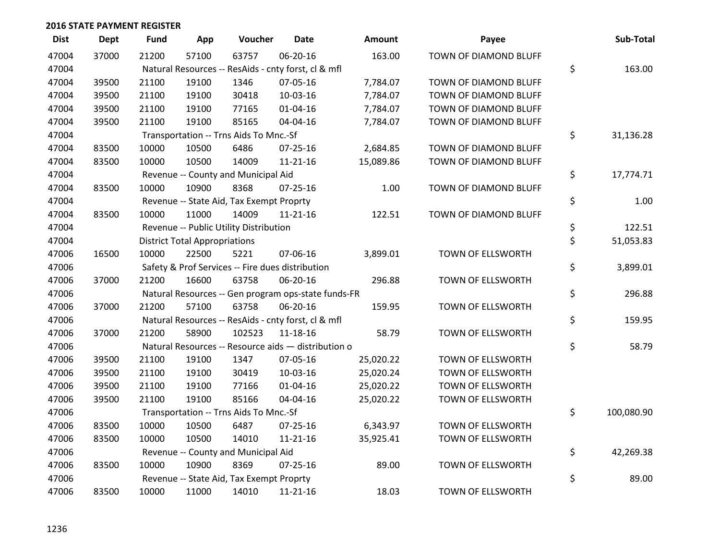| <b>Dist</b> | <b>Dept</b> | <b>Fund</b> | App                                  | Voucher                                             | <b>Date</b>    | <b>Amount</b> | Payee                    | Sub-Total        |
|-------------|-------------|-------------|--------------------------------------|-----------------------------------------------------|----------------|---------------|--------------------------|------------------|
| 47004       | 37000       | 21200       | 57100                                | 63757                                               | 06-20-16       | 163.00        | TOWN OF DIAMOND BLUFF    |                  |
| 47004       |             |             |                                      | Natural Resources -- ResAids - cnty forst, cl & mfl |                |               |                          | \$<br>163.00     |
| 47004       | 39500       | 21100       | 19100                                | 1346                                                | 07-05-16       | 7,784.07      | TOWN OF DIAMOND BLUFF    |                  |
| 47004       | 39500       | 21100       | 19100                                | 30418                                               | 10-03-16       | 7,784.07      | TOWN OF DIAMOND BLUFF    |                  |
| 47004       | 39500       | 21100       | 19100                                | 77165                                               | $01 - 04 - 16$ | 7,784.07      | TOWN OF DIAMOND BLUFF    |                  |
| 47004       | 39500       | 21100       | 19100                                | 85165                                               | 04-04-16       | 7,784.07      | TOWN OF DIAMOND BLUFF    |                  |
| 47004       |             |             |                                      | Transportation -- Trns Aids To Mnc.-Sf              |                |               |                          | \$<br>31,136.28  |
| 47004       | 83500       | 10000       | 10500                                | 6486                                                | $07 - 25 - 16$ | 2,684.85      | TOWN OF DIAMOND BLUFF    |                  |
| 47004       | 83500       | 10000       | 10500                                | 14009                                               | 11-21-16       | 15,089.86     | TOWN OF DIAMOND BLUFF    |                  |
| 47004       |             |             |                                      | Revenue -- County and Municipal Aid                 |                |               |                          | \$<br>17,774.71  |
| 47004       | 83500       | 10000       | 10900                                | 8368                                                | $07 - 25 - 16$ | 1.00          | TOWN OF DIAMOND BLUFF    |                  |
| 47004       |             |             |                                      | Revenue -- State Aid, Tax Exempt Proprty            |                |               |                          | \$<br>1.00       |
| 47004       | 83500       | 10000       | 11000                                | 14009                                               | $11 - 21 - 16$ | 122.51        | TOWN OF DIAMOND BLUFF    |                  |
| 47004       |             |             |                                      | Revenue -- Public Utility Distribution              |                |               |                          | \$<br>122.51     |
| 47004       |             |             | <b>District Total Appropriations</b> |                                                     |                |               |                          | \$<br>51,053.83  |
| 47006       | 16500       | 10000       | 22500                                | 5221                                                | 07-06-16       | 3,899.01      | TOWN OF ELLSWORTH        |                  |
| 47006       |             |             |                                      | Safety & Prof Services -- Fire dues distribution    |                |               |                          | \$<br>3,899.01   |
| 47006       | 37000       | 21200       | 16600                                | 63758                                               | 06-20-16       | 296.88        | TOWN OF ELLSWORTH        |                  |
| 47006       |             |             |                                      | Natural Resources -- Gen program ops-state funds-FR |                |               |                          | \$<br>296.88     |
| 47006       | 37000       | 21200       | 57100                                | 63758                                               | 06-20-16       | 159.95        | TOWN OF ELLSWORTH        |                  |
| 47006       |             |             |                                      | Natural Resources -- ResAids - cnty forst, cl & mfl |                |               |                          | \$<br>159.95     |
| 47006       | 37000       | 21200       | 58900                                | 102523                                              | 11-18-16       | 58.79         | TOWN OF ELLSWORTH        |                  |
| 47006       |             |             |                                      | Natural Resources -- Resource aids - distribution o |                |               |                          | \$<br>58.79      |
| 47006       | 39500       | 21100       | 19100                                | 1347                                                | 07-05-16       | 25,020.22     | TOWN OF ELLSWORTH        |                  |
| 47006       | 39500       | 21100       | 19100                                | 30419                                               | 10-03-16       | 25,020.24     | TOWN OF ELLSWORTH        |                  |
| 47006       | 39500       | 21100       | 19100                                | 77166                                               | $01 - 04 - 16$ | 25,020.22     | TOWN OF ELLSWORTH        |                  |
| 47006       | 39500       | 21100       | 19100                                | 85166                                               | 04-04-16       | 25,020.22     | TOWN OF ELLSWORTH        |                  |
| 47006       |             |             |                                      | Transportation -- Trns Aids To Mnc.-Sf              |                |               |                          | \$<br>100,080.90 |
| 47006       | 83500       | 10000       | 10500                                | 6487                                                | 07-25-16       | 6,343.97      | TOWN OF ELLSWORTH        |                  |
| 47006       | 83500       | 10000       | 10500                                | 14010                                               | 11-21-16       | 35,925.41     | TOWN OF ELLSWORTH        |                  |
| 47006       |             |             |                                      | Revenue -- County and Municipal Aid                 |                |               |                          | \$<br>42,269.38  |
| 47006       | 83500       | 10000       | 10900                                | 8369                                                | $07 - 25 - 16$ | 89.00         | TOWN OF ELLSWORTH        |                  |
| 47006       |             |             |                                      | Revenue -- State Aid, Tax Exempt Proprty            |                |               |                          | \$<br>89.00      |
| 47006       | 83500       | 10000       | 11000                                | 14010                                               | 11-21-16       | 18.03         | <b>TOWN OF ELLSWORTH</b> |                  |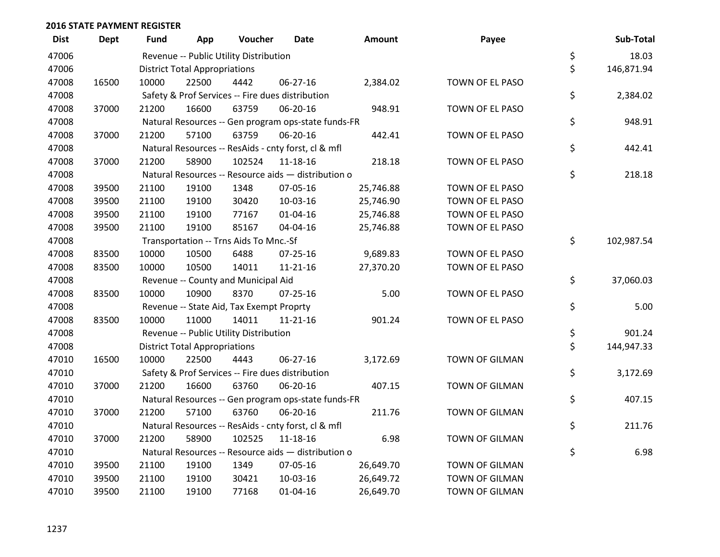| <b>Dist</b> | <b>Dept</b> | <b>Fund</b> | App                                  | Voucher                                          | Date                                                | <b>Amount</b> | Payee                 | Sub-Total        |
|-------------|-------------|-------------|--------------------------------------|--------------------------------------------------|-----------------------------------------------------|---------------|-----------------------|------------------|
| 47006       |             |             |                                      | Revenue -- Public Utility Distribution           |                                                     |               |                       | \$<br>18.03      |
| 47006       |             |             | <b>District Total Appropriations</b> |                                                  |                                                     |               |                       | \$<br>146,871.94 |
| 47008       | 16500       | 10000       | 22500                                | 4442                                             | 06-27-16                                            | 2,384.02      | TOWN OF EL PASO       |                  |
| 47008       |             |             |                                      | Safety & Prof Services -- Fire dues distribution |                                                     |               |                       | \$<br>2,384.02   |
| 47008       | 37000       | 21200       | 16600                                | 63759                                            | 06-20-16                                            | 948.91        | TOWN OF EL PASO       |                  |
| 47008       |             |             |                                      |                                                  | Natural Resources -- Gen program ops-state funds-FR |               |                       | \$<br>948.91     |
| 47008       | 37000       | 21200       | 57100                                | 63759                                            | 06-20-16                                            | 442.41        | TOWN OF EL PASO       |                  |
| 47008       |             |             |                                      |                                                  | Natural Resources -- ResAids - cnty forst, cl & mfl |               |                       | \$<br>442.41     |
| 47008       | 37000       | 21200       | 58900                                | 102524                                           | 11-18-16                                            | 218.18        | TOWN OF EL PASO       |                  |
| 47008       |             |             |                                      |                                                  | Natural Resources -- Resource aids - distribution o |               |                       | \$<br>218.18     |
| 47008       | 39500       | 21100       | 19100                                | 1348                                             | 07-05-16                                            | 25,746.88     | TOWN OF EL PASO       |                  |
| 47008       | 39500       | 21100       | 19100                                | 30420                                            | 10-03-16                                            | 25,746.90     | TOWN OF EL PASO       |                  |
| 47008       | 39500       | 21100       | 19100                                | 77167                                            | $01 - 04 - 16$                                      | 25,746.88     | TOWN OF EL PASO       |                  |
| 47008       | 39500       | 21100       | 19100                                | 85167                                            | 04-04-16                                            | 25,746.88     | TOWN OF EL PASO       |                  |
| 47008       |             |             |                                      | Transportation -- Trns Aids To Mnc.-Sf           |                                                     |               |                       | \$<br>102,987.54 |
| 47008       | 83500       | 10000       | 10500                                | 6488                                             | $07 - 25 - 16$                                      | 9,689.83      | TOWN OF EL PASO       |                  |
| 47008       | 83500       | 10000       | 10500                                | 14011                                            | $11 - 21 - 16$                                      | 27,370.20     | TOWN OF EL PASO       |                  |
| 47008       |             |             |                                      | Revenue -- County and Municipal Aid              |                                                     |               |                       | \$<br>37,060.03  |
| 47008       | 83500       | 10000       | 10900                                | 8370                                             | $07 - 25 - 16$                                      | 5.00          | TOWN OF EL PASO       |                  |
| 47008       |             |             |                                      | Revenue -- State Aid, Tax Exempt Proprty         |                                                     |               |                       | \$<br>5.00       |
| 47008       | 83500       | 10000       | 11000                                | 14011                                            | 11-21-16                                            | 901.24        | TOWN OF EL PASO       |                  |
| 47008       |             |             |                                      | Revenue -- Public Utility Distribution           |                                                     |               |                       | \$<br>901.24     |
| 47008       |             |             | <b>District Total Appropriations</b> |                                                  |                                                     |               |                       | \$<br>144,947.33 |
| 47010       | 16500       | 10000       | 22500                                | 4443                                             | 06-27-16                                            | 3,172.69      | TOWN OF GILMAN        |                  |
| 47010       |             |             |                                      | Safety & Prof Services -- Fire dues distribution |                                                     |               |                       | \$<br>3,172.69   |
| 47010       | 37000       | 21200       | 16600                                | 63760                                            | 06-20-16                                            | 407.15        | <b>TOWN OF GILMAN</b> |                  |
| 47010       |             |             |                                      |                                                  | Natural Resources -- Gen program ops-state funds-FR |               |                       | \$<br>407.15     |
| 47010       | 37000       | 21200       | 57100                                | 63760                                            | 06-20-16                                            | 211.76        | TOWN OF GILMAN        |                  |
| 47010       |             |             |                                      |                                                  | Natural Resources -- ResAids - cnty forst, cl & mfl |               |                       | \$<br>211.76     |
| 47010       | 37000       | 21200       | 58900                                | 102525                                           | 11-18-16                                            | 6.98          | <b>TOWN OF GILMAN</b> |                  |
| 47010       |             |             |                                      |                                                  | Natural Resources -- Resource aids - distribution o |               |                       | \$<br>6.98       |
| 47010       | 39500       | 21100       | 19100                                | 1349                                             | 07-05-16                                            | 26,649.70     | TOWN OF GILMAN        |                  |
| 47010       | 39500       | 21100       | 19100                                | 30421                                            | 10-03-16                                            | 26,649.72     | TOWN OF GILMAN        |                  |
| 47010       | 39500       | 21100       | 19100                                | 77168                                            | 01-04-16                                            | 26,649.70     | <b>TOWN OF GILMAN</b> |                  |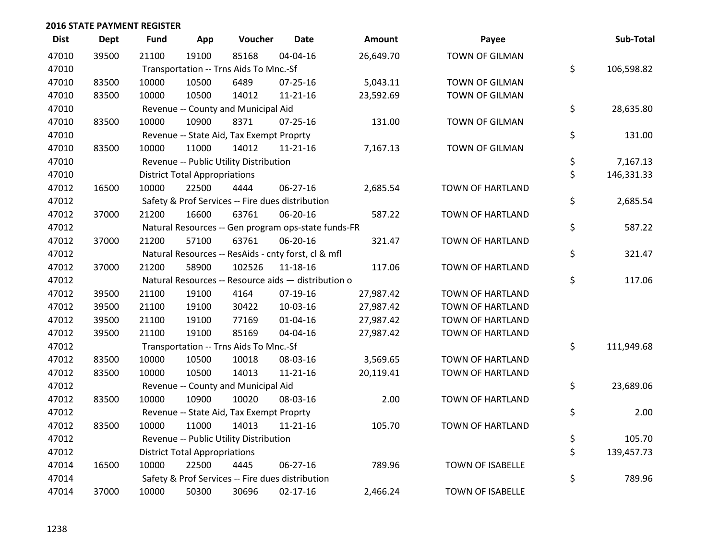| <b>Dist</b> | Dept  | <b>Fund</b> | App                                  | Voucher                                             | <b>Date</b>    | <b>Amount</b> | Payee                   | Sub-Total        |
|-------------|-------|-------------|--------------------------------------|-----------------------------------------------------|----------------|---------------|-------------------------|------------------|
| 47010       | 39500 | 21100       | 19100                                | 85168                                               | 04-04-16       | 26,649.70     | <b>TOWN OF GILMAN</b>   |                  |
| 47010       |       |             |                                      | Transportation -- Trns Aids To Mnc.-Sf              |                |               |                         | \$<br>106,598.82 |
| 47010       | 83500 | 10000       | 10500                                | 6489                                                | 07-25-16       | 5,043.11      | TOWN OF GILMAN          |                  |
| 47010       | 83500 | 10000       | 10500                                | 14012                                               | $11 - 21 - 16$ | 23,592.69     | TOWN OF GILMAN          |                  |
| 47010       |       |             |                                      | Revenue -- County and Municipal Aid                 |                |               |                         | \$<br>28,635.80  |
| 47010       | 83500 | 10000       | 10900                                | 8371                                                | $07 - 25 - 16$ | 131.00        | TOWN OF GILMAN          |                  |
| 47010       |       |             |                                      | Revenue -- State Aid, Tax Exempt Proprty            |                |               |                         | \$<br>131.00     |
| 47010       | 83500 | 10000       | 11000                                | 14012                                               | $11 - 21 - 16$ | 7,167.13      | <b>TOWN OF GILMAN</b>   |                  |
| 47010       |       |             |                                      | Revenue -- Public Utility Distribution              |                |               |                         | \$<br>7,167.13   |
| 47010       |       |             | <b>District Total Appropriations</b> |                                                     |                |               |                         | \$<br>146,331.33 |
| 47012       | 16500 | 10000       | 22500                                | 4444                                                | 06-27-16       | 2,685.54      | TOWN OF HARTLAND        |                  |
| 47012       |       |             |                                      | Safety & Prof Services -- Fire dues distribution    |                |               |                         | \$<br>2,685.54   |
| 47012       | 37000 | 21200       | 16600                                | 63761                                               | 06-20-16       | 587.22        | TOWN OF HARTLAND        |                  |
| 47012       |       |             |                                      | Natural Resources -- Gen program ops-state funds-FR |                |               |                         | \$<br>587.22     |
| 47012       | 37000 | 21200       | 57100                                | 63761                                               | 06-20-16       | 321.47        | TOWN OF HARTLAND        |                  |
| 47012       |       |             |                                      | Natural Resources -- ResAids - cnty forst, cl & mfl |                |               |                         | \$<br>321.47     |
| 47012       | 37000 | 21200       | 58900                                | 102526                                              | $11 - 18 - 16$ | 117.06        | <b>TOWN OF HARTLAND</b> |                  |
| 47012       |       |             |                                      | Natural Resources -- Resource aids - distribution o |                |               |                         | \$<br>117.06     |
| 47012       | 39500 | 21100       | 19100                                | 4164                                                | 07-19-16       | 27,987.42     | TOWN OF HARTLAND        |                  |
| 47012       | 39500 | 21100       | 19100                                | 30422                                               | 10-03-16       | 27,987.42     | TOWN OF HARTLAND        |                  |
| 47012       | 39500 | 21100       | 19100                                | 77169                                               | $01 - 04 - 16$ | 27,987.42     | <b>TOWN OF HARTLAND</b> |                  |
| 47012       | 39500 | 21100       | 19100                                | 85169                                               | 04-04-16       | 27,987.42     | TOWN OF HARTLAND        |                  |
| 47012       |       |             |                                      | Transportation -- Trns Aids To Mnc.-Sf              |                |               |                         | \$<br>111,949.68 |
| 47012       | 83500 | 10000       | 10500                                | 10018                                               | 08-03-16       | 3,569.65      | <b>TOWN OF HARTLAND</b> |                  |
| 47012       | 83500 | 10000       | 10500                                | 14013                                               | $11 - 21 - 16$ | 20,119.41     | TOWN OF HARTLAND        |                  |
| 47012       |       |             |                                      | Revenue -- County and Municipal Aid                 |                |               |                         | \$<br>23,689.06  |
| 47012       | 83500 | 10000       | 10900                                | 10020                                               | 08-03-16       | 2.00          | TOWN OF HARTLAND        |                  |
| 47012       |       |             |                                      | Revenue -- State Aid, Tax Exempt Proprty            |                |               |                         | \$<br>2.00       |
| 47012       | 83500 | 10000       | 11000                                | 14013                                               | $11 - 21 - 16$ | 105.70        | <b>TOWN OF HARTLAND</b> |                  |
| 47012       |       |             |                                      | Revenue -- Public Utility Distribution              |                |               |                         | \$<br>105.70     |
| 47012       |       |             | <b>District Total Appropriations</b> |                                                     |                |               |                         | \$<br>139,457.73 |
| 47014       | 16500 | 10000       | 22500                                | 4445                                                | 06-27-16       | 789.96        | <b>TOWN OF ISABELLE</b> |                  |
| 47014       |       |             |                                      | Safety & Prof Services -- Fire dues distribution    |                |               |                         | \$<br>789.96     |
| 47014       | 37000 | 10000       | 50300                                | 30696                                               | $02 - 17 - 16$ | 2,466.24      | <b>TOWN OF ISABELLE</b> |                  |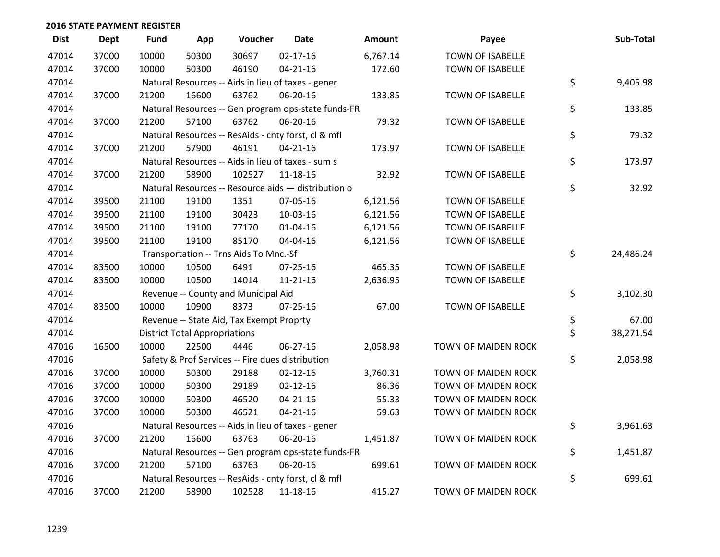| <b>Dist</b> | <b>Dept</b> | <b>Fund</b> | App                                  | Voucher                                  | <b>Date</b>                                         | Amount   | Payee                      | Sub-Total       |
|-------------|-------------|-------------|--------------------------------------|------------------------------------------|-----------------------------------------------------|----------|----------------------------|-----------------|
| 47014       | 37000       | 10000       | 50300                                | 30697                                    | $02 - 17 - 16$                                      | 6,767.14 | <b>TOWN OF ISABELLE</b>    |                 |
| 47014       | 37000       | 10000       | 50300                                | 46190                                    | $04 - 21 - 16$                                      | 172.60   | TOWN OF ISABELLE           |                 |
| 47014       |             |             |                                      |                                          | Natural Resources -- Aids in lieu of taxes - gener  |          |                            | \$<br>9,405.98  |
| 47014       | 37000       | 21200       | 16600                                | 63762                                    | 06-20-16                                            | 133.85   | <b>TOWN OF ISABELLE</b>    |                 |
| 47014       |             |             |                                      |                                          | Natural Resources -- Gen program ops-state funds-FR |          |                            | \$<br>133.85    |
| 47014       | 37000       | 21200       | 57100                                | 63762                                    | 06-20-16                                            | 79.32    | TOWN OF ISABELLE           |                 |
| 47014       |             |             |                                      |                                          | Natural Resources -- ResAids - cnty forst, cl & mfl |          |                            | \$<br>79.32     |
| 47014       | 37000       | 21200       | 57900                                | 46191                                    | $04 - 21 - 16$                                      | 173.97   | <b>TOWN OF ISABELLE</b>    |                 |
| 47014       |             |             |                                      |                                          | Natural Resources -- Aids in lieu of taxes - sum s  |          |                            | \$<br>173.97    |
| 47014       | 37000       | 21200       | 58900                                | 102527                                   | 11-18-16                                            | 32.92    | TOWN OF ISABELLE           |                 |
| 47014       |             |             |                                      |                                          | Natural Resources -- Resource aids - distribution o |          |                            | \$<br>32.92     |
| 47014       | 39500       | 21100       | 19100                                | 1351                                     | 07-05-16                                            | 6,121.56 | <b>TOWN OF ISABELLE</b>    |                 |
| 47014       | 39500       | 21100       | 19100                                | 30423                                    | 10-03-16                                            | 6,121.56 | <b>TOWN OF ISABELLE</b>    |                 |
| 47014       | 39500       | 21100       | 19100                                | 77170                                    | $01 - 04 - 16$                                      | 6,121.56 | TOWN OF ISABELLE           |                 |
| 47014       | 39500       | 21100       | 19100                                | 85170                                    | 04-04-16                                            | 6,121.56 | TOWN OF ISABELLE           |                 |
| 47014       |             |             |                                      | Transportation -- Trns Aids To Mnc.-Sf   |                                                     |          |                            | \$<br>24,486.24 |
| 47014       | 83500       | 10000       | 10500                                | 6491                                     | 07-25-16                                            | 465.35   | <b>TOWN OF ISABELLE</b>    |                 |
| 47014       | 83500       | 10000       | 10500                                | 14014                                    | $11 - 21 - 16$                                      | 2,636.95 | TOWN OF ISABELLE           |                 |
| 47014       |             |             |                                      | Revenue -- County and Municipal Aid      |                                                     |          |                            | \$<br>3,102.30  |
| 47014       | 83500       | 10000       | 10900                                | 8373                                     | $07 - 25 - 16$                                      | 67.00    | <b>TOWN OF ISABELLE</b>    |                 |
| 47014       |             |             |                                      | Revenue -- State Aid, Tax Exempt Proprty |                                                     |          |                            | \$<br>67.00     |
| 47014       |             |             | <b>District Total Appropriations</b> |                                          |                                                     |          |                            | \$<br>38,271.54 |
| 47016       | 16500       | 10000       | 22500                                | 4446                                     | 06-27-16                                            | 2,058.98 | TOWN OF MAIDEN ROCK        |                 |
| 47016       |             |             |                                      |                                          | Safety & Prof Services -- Fire dues distribution    |          |                            | \$<br>2,058.98  |
| 47016       | 37000       | 10000       | 50300                                | 29188                                    | $02 - 12 - 16$                                      | 3,760.31 | TOWN OF MAIDEN ROCK        |                 |
| 47016       | 37000       | 10000       | 50300                                | 29189                                    | $02 - 12 - 16$                                      | 86.36    | TOWN OF MAIDEN ROCK        |                 |
| 47016       | 37000       | 10000       | 50300                                | 46520                                    | $04 - 21 - 16$                                      | 55.33    | TOWN OF MAIDEN ROCK        |                 |
| 47016       | 37000       | 10000       | 50300                                | 46521                                    | $04 - 21 - 16$                                      | 59.63    | <b>TOWN OF MAIDEN ROCK</b> |                 |
| 47016       |             |             |                                      |                                          | Natural Resources -- Aids in lieu of taxes - gener  |          |                            | \$<br>3,961.63  |
| 47016       | 37000       | 21200       | 16600                                | 63763                                    | 06-20-16                                            | 1,451.87 | TOWN OF MAIDEN ROCK        |                 |
| 47016       |             |             |                                      |                                          | Natural Resources -- Gen program ops-state funds-FR |          |                            | \$<br>1,451.87  |
| 47016       | 37000       | 21200       | 57100                                | 63763                                    | 06-20-16                                            | 699.61   | TOWN OF MAIDEN ROCK        |                 |
| 47016       |             |             |                                      |                                          | Natural Resources -- ResAids - cnty forst, cl & mfl |          |                            | \$<br>699.61    |
| 47016       | 37000       | 21200       | 58900                                | 102528                                   | 11-18-16                                            | 415.27   | TOWN OF MAIDEN ROCK        |                 |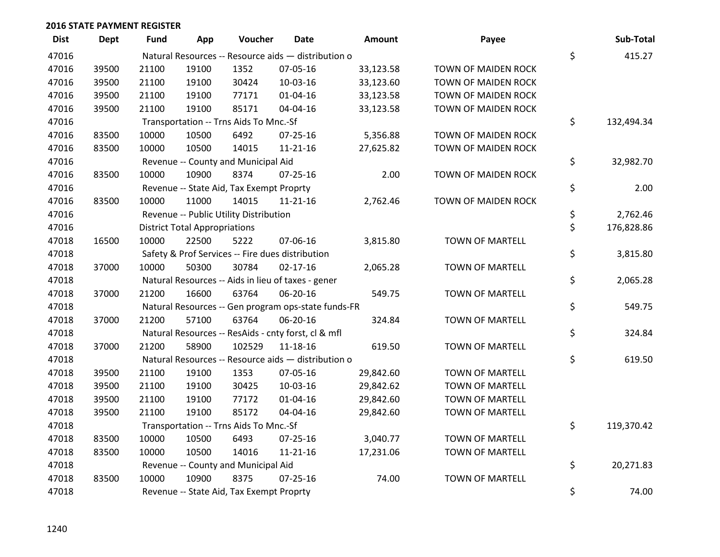| <b>Dist</b> | Dept  | <b>Fund</b> | App                                  | Voucher                                  | Date                                                | Amount    | Payee                  | Sub-Total        |
|-------------|-------|-------------|--------------------------------------|------------------------------------------|-----------------------------------------------------|-----------|------------------------|------------------|
| 47016       |       |             |                                      |                                          | Natural Resources -- Resource aids - distribution o |           |                        | \$<br>415.27     |
| 47016       | 39500 | 21100       | 19100                                | 1352                                     | 07-05-16                                            | 33,123.58 | TOWN OF MAIDEN ROCK    |                  |
| 47016       | 39500 | 21100       | 19100                                | 30424                                    | 10-03-16                                            | 33,123.60 | TOWN OF MAIDEN ROCK    |                  |
| 47016       | 39500 | 21100       | 19100                                | 77171                                    | $01 - 04 - 16$                                      | 33,123.58 | TOWN OF MAIDEN ROCK    |                  |
| 47016       | 39500 | 21100       | 19100                                | 85171                                    | 04-04-16                                            | 33,123.58 | TOWN OF MAIDEN ROCK    |                  |
| 47016       |       |             |                                      | Transportation -- Trns Aids To Mnc.-Sf   |                                                     |           |                        | \$<br>132,494.34 |
| 47016       | 83500 | 10000       | 10500                                | 6492                                     | $07 - 25 - 16$                                      | 5,356.88  | TOWN OF MAIDEN ROCK    |                  |
| 47016       | 83500 | 10000       | 10500                                | 14015                                    | $11 - 21 - 16$                                      | 27,625.82 | TOWN OF MAIDEN ROCK    |                  |
| 47016       |       |             |                                      | Revenue -- County and Municipal Aid      |                                                     |           |                        | \$<br>32,982.70  |
| 47016       | 83500 | 10000       | 10900                                | 8374                                     | $07 - 25 - 16$                                      | 2.00      | TOWN OF MAIDEN ROCK    |                  |
| 47016       |       |             |                                      | Revenue -- State Aid, Tax Exempt Proprty |                                                     |           |                        | \$<br>2.00       |
| 47016       | 83500 | 10000       | 11000                                | 14015                                    | $11 - 21 - 16$                                      | 2,762.46  | TOWN OF MAIDEN ROCK    |                  |
| 47016       |       |             |                                      | Revenue -- Public Utility Distribution   |                                                     |           |                        | \$<br>2,762.46   |
| 47016       |       |             | <b>District Total Appropriations</b> |                                          |                                                     |           |                        | \$<br>176,828.86 |
| 47018       | 16500 | 10000       | 22500                                | 5222                                     | 07-06-16                                            | 3,815.80  | <b>TOWN OF MARTELL</b> |                  |
| 47018       |       |             |                                      |                                          | Safety & Prof Services -- Fire dues distribution    |           |                        | \$<br>3,815.80   |
| 47018       | 37000 | 10000       | 50300                                | 30784                                    | $02 - 17 - 16$                                      | 2,065.28  | TOWN OF MARTELL        |                  |
| 47018       |       |             |                                      |                                          | Natural Resources -- Aids in lieu of taxes - gener  |           |                        | \$<br>2,065.28   |
| 47018       | 37000 | 21200       | 16600                                | 63764                                    | 06-20-16                                            | 549.75    | <b>TOWN OF MARTELL</b> |                  |
| 47018       |       |             |                                      |                                          | Natural Resources -- Gen program ops-state funds-FR |           |                        | \$<br>549.75     |
| 47018       | 37000 | 21200       | 57100                                | 63764                                    | 06-20-16                                            | 324.84    | <b>TOWN OF MARTELL</b> |                  |
| 47018       |       |             |                                      |                                          | Natural Resources -- ResAids - cnty forst, cl & mfl |           |                        | \$<br>324.84     |
| 47018       | 37000 | 21200       | 58900                                | 102529                                   | 11-18-16                                            | 619.50    | <b>TOWN OF MARTELL</b> |                  |
| 47018       |       |             |                                      |                                          | Natural Resources -- Resource aids - distribution o |           |                        | \$<br>619.50     |
| 47018       | 39500 | 21100       | 19100                                | 1353                                     | 07-05-16                                            | 29,842.60 | <b>TOWN OF MARTELL</b> |                  |
| 47018       | 39500 | 21100       | 19100                                | 30425                                    | 10-03-16                                            | 29,842.62 | <b>TOWN OF MARTELL</b> |                  |
| 47018       | 39500 | 21100       | 19100                                | 77172                                    | $01 - 04 - 16$                                      | 29,842.60 | TOWN OF MARTELL        |                  |
| 47018       | 39500 | 21100       | 19100                                | 85172                                    | 04-04-16                                            | 29,842.60 | <b>TOWN OF MARTELL</b> |                  |
| 47018       |       |             |                                      | Transportation -- Trns Aids To Mnc.-Sf   |                                                     |           |                        | \$<br>119,370.42 |
| 47018       | 83500 | 10000       | 10500                                | 6493                                     | $07 - 25 - 16$                                      | 3,040.77  | <b>TOWN OF MARTELL</b> |                  |
| 47018       | 83500 | 10000       | 10500                                | 14016                                    | 11-21-16                                            | 17,231.06 | <b>TOWN OF MARTELL</b> |                  |
| 47018       |       |             |                                      | Revenue -- County and Municipal Aid      |                                                     |           |                        | \$<br>20,271.83  |
| 47018       | 83500 | 10000       | 10900                                | 8375                                     | $07 - 25 - 16$                                      | 74.00     | <b>TOWN OF MARTELL</b> |                  |
| 47018       |       |             |                                      | Revenue -- State Aid, Tax Exempt Proprty |                                                     |           |                        | \$<br>74.00      |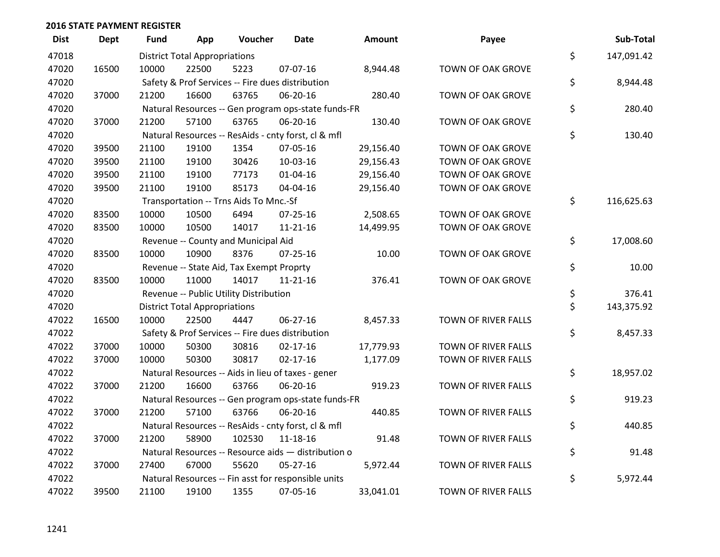| <b>Dist</b> | <b>Dept</b> | Fund  | App                                  | Voucher                                             | <b>Date</b>    | Amount    | Payee               | Sub-Total        |
|-------------|-------------|-------|--------------------------------------|-----------------------------------------------------|----------------|-----------|---------------------|------------------|
| 47018       |             |       | <b>District Total Appropriations</b> |                                                     |                |           |                     | \$<br>147,091.42 |
| 47020       | 16500       | 10000 | 22500                                | 5223                                                | 07-07-16       | 8,944.48  | TOWN OF OAK GROVE   |                  |
| 47020       |             |       |                                      | Safety & Prof Services -- Fire dues distribution    |                |           |                     | \$<br>8,944.48   |
| 47020       | 37000       | 21200 | 16600                                | 63765                                               | 06-20-16       | 280.40    | TOWN OF OAK GROVE   |                  |
| 47020       |             |       |                                      | Natural Resources -- Gen program ops-state funds-FR |                |           |                     | \$<br>280.40     |
| 47020       | 37000       | 21200 | 57100                                | 63765                                               | 06-20-16       | 130.40    | TOWN OF OAK GROVE   |                  |
| 47020       |             |       |                                      | Natural Resources -- ResAids - cnty forst, cl & mfl |                |           |                     | \$<br>130.40     |
| 47020       | 39500       | 21100 | 19100                                | 1354                                                | 07-05-16       | 29,156.40 | TOWN OF OAK GROVE   |                  |
| 47020       | 39500       | 21100 | 19100                                | 30426                                               | 10-03-16       | 29,156.43 | TOWN OF OAK GROVE   |                  |
| 47020       | 39500       | 21100 | 19100                                | 77173                                               | 01-04-16       | 29,156.40 | TOWN OF OAK GROVE   |                  |
| 47020       | 39500       | 21100 | 19100                                | 85173                                               | 04-04-16       | 29,156.40 | TOWN OF OAK GROVE   |                  |
| 47020       |             |       |                                      | Transportation -- Trns Aids To Mnc.-Sf              |                |           |                     | \$<br>116,625.63 |
| 47020       | 83500       | 10000 | 10500                                | 6494                                                | 07-25-16       | 2,508.65  | TOWN OF OAK GROVE   |                  |
| 47020       | 83500       | 10000 | 10500                                | 14017                                               | $11 - 21 - 16$ | 14,499.95 | TOWN OF OAK GROVE   |                  |
| 47020       |             |       |                                      | Revenue -- County and Municipal Aid                 |                |           |                     | \$<br>17,008.60  |
| 47020       | 83500       | 10000 | 10900                                | 8376                                                | $07 - 25 - 16$ | 10.00     | TOWN OF OAK GROVE   |                  |
| 47020       |             |       |                                      | Revenue -- State Aid, Tax Exempt Proprty            |                |           |                     | \$<br>10.00      |
| 47020       | 83500       | 10000 | 11000                                | 14017                                               | $11 - 21 - 16$ | 376.41    | TOWN OF OAK GROVE   |                  |
| 47020       |             |       |                                      | Revenue -- Public Utility Distribution              |                |           |                     | \$<br>376.41     |
| 47020       |             |       | <b>District Total Appropriations</b> |                                                     |                |           |                     | \$<br>143,375.92 |
| 47022       | 16500       | 10000 | 22500                                | 4447                                                | 06-27-16       | 8,457.33  | TOWN OF RIVER FALLS |                  |
| 47022       |             |       |                                      | Safety & Prof Services -- Fire dues distribution    |                |           |                     | \$<br>8,457.33   |
| 47022       | 37000       | 10000 | 50300                                | 30816                                               | $02 - 17 - 16$ | 17,779.93 | TOWN OF RIVER FALLS |                  |
| 47022       | 37000       | 10000 | 50300                                | 30817                                               | $02 - 17 - 16$ | 1,177.09  | TOWN OF RIVER FALLS |                  |
| 47022       |             |       |                                      | Natural Resources -- Aids in lieu of taxes - gener  |                |           |                     | \$<br>18,957.02  |
| 47022       | 37000       | 21200 | 16600                                | 63766                                               | 06-20-16       | 919.23    | TOWN OF RIVER FALLS |                  |
| 47022       |             |       |                                      | Natural Resources -- Gen program ops-state funds-FR |                |           |                     | \$<br>919.23     |
| 47022       | 37000       | 21200 | 57100                                | 63766                                               | 06-20-16       | 440.85    | TOWN OF RIVER FALLS |                  |
| 47022       |             |       |                                      | Natural Resources -- ResAids - cnty forst, cl & mfl |                |           |                     | \$<br>440.85     |
| 47022       | 37000       | 21200 | 58900                                | 102530                                              | 11-18-16       | 91.48     | TOWN OF RIVER FALLS |                  |
| 47022       |             |       |                                      | Natural Resources -- Resource aids - distribution o |                |           |                     | \$<br>91.48      |
| 47022       | 37000       | 27400 | 67000                                | 55620                                               | $05-27-16$     | 5,972.44  | TOWN OF RIVER FALLS |                  |
| 47022       |             |       |                                      | Natural Resources -- Fin asst for responsible units |                |           |                     | \$<br>5,972.44   |
| 47022       | 39500       | 21100 | 19100                                | 1355                                                | 07-05-16       | 33,041.01 | TOWN OF RIVER FALLS |                  |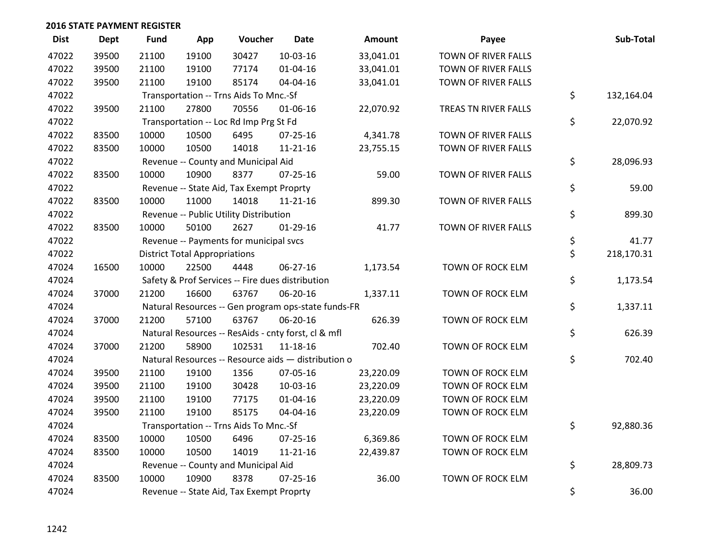| <b>Dist</b> | <b>Dept</b> | <b>Fund</b> | App                                  | Voucher                                  | <b>Date</b>                                         | <b>Amount</b> | Payee                | Sub-Total        |
|-------------|-------------|-------------|--------------------------------------|------------------------------------------|-----------------------------------------------------|---------------|----------------------|------------------|
| 47022       | 39500       | 21100       | 19100                                | 30427                                    | $10-03-16$                                          | 33,041.01     | TOWN OF RIVER FALLS  |                  |
| 47022       | 39500       | 21100       | 19100                                | 77174                                    | 01-04-16                                            | 33,041.01     | TOWN OF RIVER FALLS  |                  |
| 47022       | 39500       | 21100       | 19100                                | 85174                                    | 04-04-16                                            | 33,041.01     | TOWN OF RIVER FALLS  |                  |
| 47022       |             |             |                                      | Transportation -- Trns Aids To Mnc.-Sf   |                                                     |               |                      | \$<br>132,164.04 |
| 47022       | 39500       | 21100       | 27800                                | 70556                                    | 01-06-16                                            | 22,070.92     | TREAS TN RIVER FALLS |                  |
| 47022       |             |             |                                      | Transportation -- Loc Rd Imp Prg St Fd   |                                                     |               |                      | \$<br>22,070.92  |
| 47022       | 83500       | 10000       | 10500                                | 6495                                     | 07-25-16                                            | 4,341.78      | TOWN OF RIVER FALLS  |                  |
| 47022       | 83500       | 10000       | 10500                                | 14018                                    | $11 - 21 - 16$                                      | 23,755.15     | TOWN OF RIVER FALLS  |                  |
| 47022       |             |             |                                      | Revenue -- County and Municipal Aid      |                                                     |               |                      | \$<br>28,096.93  |
| 47022       | 83500       | 10000       | 10900                                | 8377                                     | 07-25-16                                            | 59.00         | TOWN OF RIVER FALLS  |                  |
| 47022       |             |             |                                      | Revenue -- State Aid, Tax Exempt Proprty |                                                     |               |                      | \$<br>59.00      |
| 47022       | 83500       | 10000       | 11000                                | 14018                                    | $11 - 21 - 16$                                      | 899.30        | TOWN OF RIVER FALLS  |                  |
| 47022       |             |             |                                      | Revenue -- Public Utility Distribution   |                                                     |               |                      | \$<br>899.30     |
| 47022       | 83500       | 10000       | 50100                                | 2627                                     | $01-29-16$                                          | 41.77         | TOWN OF RIVER FALLS  |                  |
| 47022       |             |             |                                      | Revenue -- Payments for municipal svcs   |                                                     |               |                      | \$<br>41.77      |
| 47022       |             |             | <b>District Total Appropriations</b> |                                          |                                                     |               |                      | \$<br>218,170.31 |
| 47024       | 16500       | 10000       | 22500                                | 4448                                     | 06-27-16                                            | 1,173.54      | TOWN OF ROCK ELM     |                  |
| 47024       |             |             |                                      |                                          | Safety & Prof Services -- Fire dues distribution    |               |                      | \$<br>1,173.54   |
| 47024       | 37000       | 21200       | 16600                                | 63767                                    | 06-20-16                                            | 1,337.11      | TOWN OF ROCK ELM     |                  |
| 47024       |             |             |                                      |                                          | Natural Resources -- Gen program ops-state funds-FR |               |                      | \$<br>1,337.11   |
| 47024       | 37000       | 21200       | 57100                                | 63767                                    | 06-20-16                                            | 626.39        | TOWN OF ROCK ELM     |                  |
| 47024       |             |             |                                      |                                          | Natural Resources -- ResAids - cnty forst, cl & mfl |               |                      | \$<br>626.39     |
| 47024       | 37000       | 21200       | 58900                                | 102531                                   | $11 - 18 - 16$                                      | 702.40        | TOWN OF ROCK ELM     |                  |
| 47024       |             |             |                                      |                                          | Natural Resources -- Resource aids - distribution o |               |                      | \$<br>702.40     |
| 47024       | 39500       | 21100       | 19100                                | 1356                                     | 07-05-16                                            | 23,220.09     | TOWN OF ROCK ELM     |                  |
| 47024       | 39500       | 21100       | 19100                                | 30428                                    | 10-03-16                                            | 23,220.09     | TOWN OF ROCK ELM     |                  |
| 47024       | 39500       | 21100       | 19100                                | 77175                                    | $01 - 04 - 16$                                      | 23,220.09     | TOWN OF ROCK ELM     |                  |
| 47024       | 39500       | 21100       | 19100                                | 85175                                    | 04-04-16                                            | 23,220.09     | TOWN OF ROCK ELM     |                  |
| 47024       |             |             |                                      | Transportation -- Trns Aids To Mnc.-Sf   |                                                     |               |                      | \$<br>92,880.36  |
| 47024       | 83500       | 10000       | 10500                                | 6496                                     | 07-25-16                                            | 6,369.86      | TOWN OF ROCK ELM     |                  |
| 47024       | 83500       | 10000       | 10500                                | 14019                                    | $11 - 21 - 16$                                      | 22,439.87     | TOWN OF ROCK ELM     |                  |
| 47024       |             |             |                                      | Revenue -- County and Municipal Aid      |                                                     |               |                      | \$<br>28,809.73  |
| 47024       | 83500       | 10000       | 10900                                | 8378                                     | $07 - 25 - 16$                                      | 36.00         | TOWN OF ROCK ELM     |                  |
| 47024       |             |             |                                      | Revenue -- State Aid, Tax Exempt Proprty |                                                     |               |                      | \$<br>36.00      |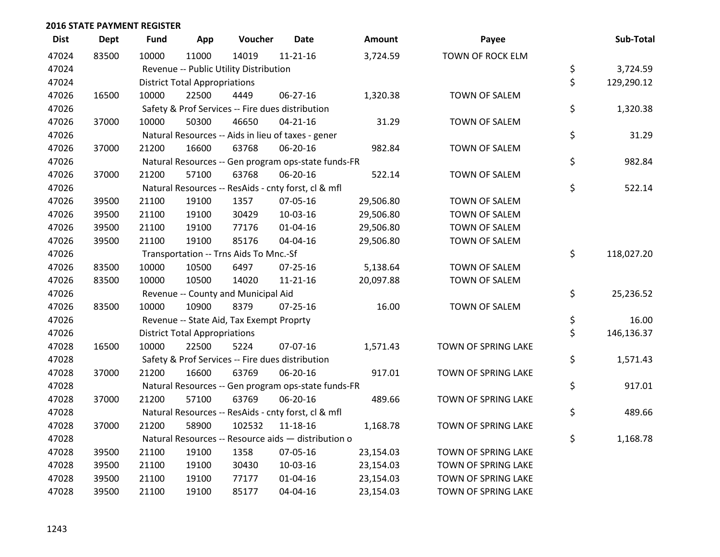| <b>Dist</b> | <b>Dept</b> | <b>Fund</b> | App                                  | Voucher                                          | <b>Date</b>                                         | <b>Amount</b> | Payee               | Sub-Total        |
|-------------|-------------|-------------|--------------------------------------|--------------------------------------------------|-----------------------------------------------------|---------------|---------------------|------------------|
| 47024       | 83500       | 10000       | 11000                                | 14019                                            | $11 - 21 - 16$                                      | 3,724.59      | TOWN OF ROCK ELM    |                  |
| 47024       |             |             |                                      | Revenue -- Public Utility Distribution           |                                                     |               |                     | \$<br>3,724.59   |
| 47024       |             |             | <b>District Total Appropriations</b> |                                                  |                                                     |               |                     | \$<br>129,290.12 |
| 47026       | 16500       | 10000       | 22500                                | 4449                                             | 06-27-16                                            | 1,320.38      | TOWN OF SALEM       |                  |
| 47026       |             |             |                                      | Safety & Prof Services -- Fire dues distribution |                                                     |               |                     | \$<br>1,320.38   |
| 47026       | 37000       | 10000       | 50300                                | 46650                                            | $04 - 21 - 16$                                      | 31.29         | TOWN OF SALEM       |                  |
| 47026       |             |             |                                      |                                                  | Natural Resources -- Aids in lieu of taxes - gener  |               |                     | \$<br>31.29      |
| 47026       | 37000       | 21200       | 16600                                | 63768                                            | 06-20-16                                            | 982.84        | TOWN OF SALEM       |                  |
| 47026       |             |             |                                      |                                                  | Natural Resources -- Gen program ops-state funds-FR |               |                     | \$<br>982.84     |
| 47026       | 37000       | 21200       | 57100                                | 63768                                            | 06-20-16                                            | 522.14        | TOWN OF SALEM       |                  |
| 47026       |             |             |                                      |                                                  | Natural Resources -- ResAids - cnty forst, cl & mfl |               |                     | \$<br>522.14     |
| 47026       | 39500       | 21100       | 19100                                | 1357                                             | 07-05-16                                            | 29,506.80     | TOWN OF SALEM       |                  |
| 47026       | 39500       | 21100       | 19100                                | 30429                                            | 10-03-16                                            | 29,506.80     | TOWN OF SALEM       |                  |
| 47026       | 39500       | 21100       | 19100                                | 77176                                            | $01 - 04 - 16$                                      | 29,506.80     | TOWN OF SALEM       |                  |
| 47026       | 39500       | 21100       | 19100                                | 85176                                            | 04-04-16                                            | 29,506.80     | TOWN OF SALEM       |                  |
| 47026       |             |             |                                      | Transportation -- Trns Aids To Mnc.-Sf           |                                                     |               |                     | \$<br>118,027.20 |
| 47026       | 83500       | 10000       | 10500                                | 6497                                             | $07 - 25 - 16$                                      | 5,138.64      | TOWN OF SALEM       |                  |
| 47026       | 83500       | 10000       | 10500                                | 14020                                            | $11 - 21 - 16$                                      | 20,097.88     | TOWN OF SALEM       |                  |
| 47026       |             |             |                                      | Revenue -- County and Municipal Aid              |                                                     |               |                     | \$<br>25,236.52  |
| 47026       | 83500       | 10000       | 10900                                | 8379                                             | $07 - 25 - 16$                                      | 16.00         | TOWN OF SALEM       |                  |
| 47026       |             |             |                                      | Revenue -- State Aid, Tax Exempt Proprty         |                                                     |               |                     | \$<br>16.00      |
| 47026       |             |             | <b>District Total Appropriations</b> |                                                  |                                                     |               |                     | \$<br>146,136.37 |
| 47028       | 16500       | 10000       | 22500                                | 5224                                             | 07-07-16                                            | 1,571.43      | TOWN OF SPRING LAKE |                  |
| 47028       |             |             |                                      | Safety & Prof Services -- Fire dues distribution |                                                     |               |                     | \$<br>1,571.43   |
| 47028       | 37000       | 21200       | 16600                                | 63769                                            | 06-20-16                                            | 917.01        | TOWN OF SPRING LAKE |                  |
| 47028       |             |             |                                      |                                                  | Natural Resources -- Gen program ops-state funds-FR |               |                     | \$<br>917.01     |
| 47028       | 37000       | 21200       | 57100                                | 63769                                            | 06-20-16                                            | 489.66        | TOWN OF SPRING LAKE |                  |
| 47028       |             |             |                                      |                                                  | Natural Resources -- ResAids - cnty forst, cl & mfl |               |                     | \$<br>489.66     |
| 47028       | 37000       | 21200       | 58900                                | 102532                                           | 11-18-16                                            | 1,168.78      | TOWN OF SPRING LAKE |                  |
| 47028       |             |             |                                      |                                                  | Natural Resources -- Resource aids - distribution o |               |                     | \$<br>1,168.78   |
| 47028       | 39500       | 21100       | 19100                                | 1358                                             | 07-05-16                                            | 23,154.03     | TOWN OF SPRING LAKE |                  |
| 47028       | 39500       | 21100       | 19100                                | 30430                                            | 10-03-16                                            | 23,154.03     | TOWN OF SPRING LAKE |                  |
| 47028       | 39500       | 21100       | 19100                                | 77177                                            | $01 - 04 - 16$                                      | 23,154.03     | TOWN OF SPRING LAKE |                  |
| 47028       | 39500       | 21100       | 19100                                | 85177                                            | 04-04-16                                            | 23,154.03     | TOWN OF SPRING LAKE |                  |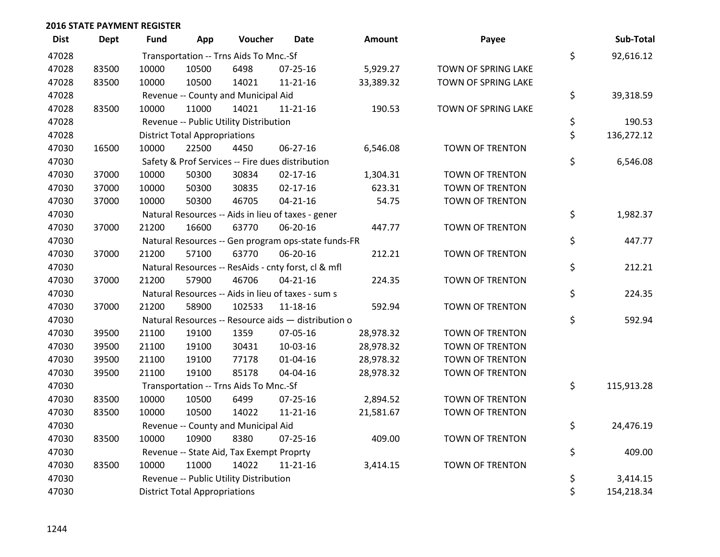| <b>Dist</b> | <b>Dept</b> | Fund  | App                                  | Voucher                                  | <b>Date</b>                                         | Amount    | Payee                  | Sub-Total        |
|-------------|-------------|-------|--------------------------------------|------------------------------------------|-----------------------------------------------------|-----------|------------------------|------------------|
| 47028       |             |       |                                      | Transportation -- Trns Aids To Mnc.-Sf   |                                                     |           |                        | \$<br>92,616.12  |
| 47028       | 83500       | 10000 | 10500                                | 6498                                     | $07 - 25 - 16$                                      | 5,929.27  | TOWN OF SPRING LAKE    |                  |
| 47028       | 83500       | 10000 | 10500                                | 14021                                    | 11-21-16                                            | 33,389.32 | TOWN OF SPRING LAKE    |                  |
| 47028       |             |       |                                      | Revenue -- County and Municipal Aid      |                                                     |           |                        | \$<br>39,318.59  |
| 47028       | 83500       | 10000 | 11000                                | 14021                                    | $11 - 21 - 16$                                      | 190.53    | TOWN OF SPRING LAKE    |                  |
| 47028       |             |       |                                      | Revenue -- Public Utility Distribution   |                                                     |           |                        | \$<br>190.53     |
| 47028       |             |       | <b>District Total Appropriations</b> |                                          |                                                     |           |                        | \$<br>136,272.12 |
| 47030       | 16500       | 10000 | 22500                                | 4450                                     | $06 - 27 - 16$                                      | 6,546.08  | TOWN OF TRENTON        |                  |
| 47030       |             |       |                                      |                                          | Safety & Prof Services -- Fire dues distribution    |           |                        | \$<br>6,546.08   |
| 47030       | 37000       | 10000 | 50300                                | 30834                                    | $02 - 17 - 16$                                      | 1,304.31  | TOWN OF TRENTON        |                  |
| 47030       | 37000       | 10000 | 50300                                | 30835                                    | $02 - 17 - 16$                                      | 623.31    | TOWN OF TRENTON        |                  |
| 47030       | 37000       | 10000 | 50300                                | 46705                                    | $04 - 21 - 16$                                      | 54.75     | <b>TOWN OF TRENTON</b> |                  |
| 47030       |             |       |                                      |                                          | Natural Resources -- Aids in lieu of taxes - gener  |           |                        | \$<br>1,982.37   |
| 47030       | 37000       | 21200 | 16600                                | 63770                                    | 06-20-16                                            | 447.77    | <b>TOWN OF TRENTON</b> |                  |
| 47030       |             |       |                                      |                                          | Natural Resources -- Gen program ops-state funds-FR |           |                        | \$<br>447.77     |
| 47030       | 37000       | 21200 | 57100                                | 63770                                    | 06-20-16                                            | 212.21    | <b>TOWN OF TRENTON</b> |                  |
| 47030       |             |       |                                      |                                          | Natural Resources -- ResAids - cnty forst, cl & mfl |           |                        | \$<br>212.21     |
| 47030       | 37000       | 21200 | 57900                                | 46706                                    | $04 - 21 - 16$                                      | 224.35    | TOWN OF TRENTON        |                  |
| 47030       |             |       |                                      |                                          | Natural Resources -- Aids in lieu of taxes - sum s  |           |                        | \$<br>224.35     |
| 47030       | 37000       | 21200 | 58900                                | 102533                                   | 11-18-16                                            | 592.94    | TOWN OF TRENTON        |                  |
| 47030       |             |       |                                      |                                          | Natural Resources -- Resource aids - distribution o |           |                        | \$<br>592.94     |
| 47030       | 39500       | 21100 | 19100                                | 1359                                     | 07-05-16                                            | 28,978.32 | TOWN OF TRENTON        |                  |
| 47030       | 39500       | 21100 | 19100                                | 30431                                    | 10-03-16                                            | 28,978.32 | <b>TOWN OF TRENTON</b> |                  |
| 47030       | 39500       | 21100 | 19100                                | 77178                                    | $01 - 04 - 16$                                      | 28,978.32 | TOWN OF TRENTON        |                  |
| 47030       | 39500       | 21100 | 19100                                | 85178                                    | 04-04-16                                            | 28,978.32 | TOWN OF TRENTON        |                  |
| 47030       |             |       |                                      | Transportation -- Trns Aids To Mnc.-Sf   |                                                     |           |                        | \$<br>115,913.28 |
| 47030       | 83500       | 10000 | 10500                                | 6499                                     | $07 - 25 - 16$                                      | 2,894.52  | TOWN OF TRENTON        |                  |
| 47030       | 83500       | 10000 | 10500                                | 14022                                    | 11-21-16                                            | 21,581.67 | TOWN OF TRENTON        |                  |
| 47030       |             |       |                                      | Revenue -- County and Municipal Aid      |                                                     |           |                        | \$<br>24,476.19  |
| 47030       | 83500       | 10000 | 10900                                | 8380                                     | $07 - 25 - 16$                                      | 409.00    | TOWN OF TRENTON        |                  |
| 47030       |             |       |                                      | Revenue -- State Aid, Tax Exempt Proprty |                                                     |           |                        | \$<br>409.00     |
| 47030       | 83500       | 10000 | 11000                                | 14022                                    | $11 - 21 - 16$                                      | 3,414.15  | TOWN OF TRENTON        |                  |
| 47030       |             |       |                                      | Revenue -- Public Utility Distribution   |                                                     |           |                        | \$<br>3,414.15   |
| 47030       |             |       | <b>District Total Appropriations</b> |                                          |                                                     |           |                        | \$<br>154,218.34 |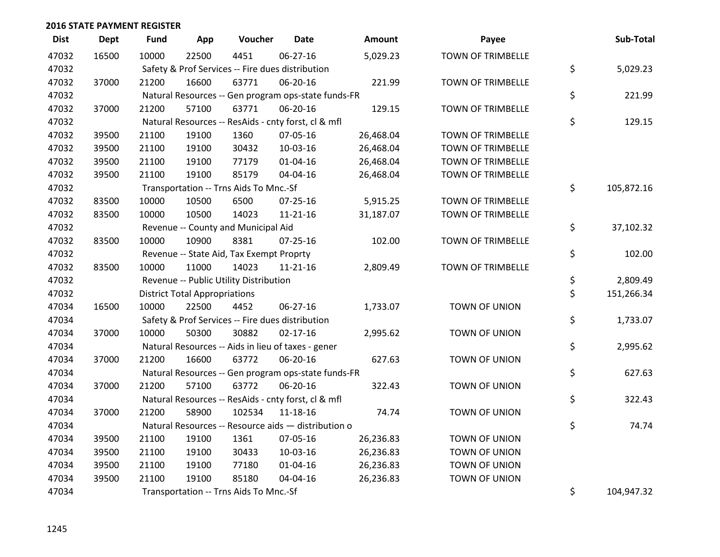| <b>Dist</b> | <b>Dept</b> | <b>Fund</b> | App                                  | Voucher                                             | <b>Date</b>    | Amount    | Payee                    | Sub-Total        |
|-------------|-------------|-------------|--------------------------------------|-----------------------------------------------------|----------------|-----------|--------------------------|------------------|
| 47032       | 16500       | 10000       | 22500                                | 4451                                                | 06-27-16       | 5,029.23  | <b>TOWN OF TRIMBELLE</b> |                  |
| 47032       |             |             |                                      | Safety & Prof Services -- Fire dues distribution    |                |           |                          | \$<br>5,029.23   |
| 47032       | 37000       | 21200       | 16600                                | 63771                                               | 06-20-16       | 221.99    | <b>TOWN OF TRIMBELLE</b> |                  |
| 47032       |             |             |                                      | Natural Resources -- Gen program ops-state funds-FR |                |           |                          | \$<br>221.99     |
| 47032       | 37000       | 21200       | 57100                                | 63771                                               | 06-20-16       | 129.15    | <b>TOWN OF TRIMBELLE</b> |                  |
| 47032       |             |             |                                      | Natural Resources -- ResAids - cnty forst, cl & mfl |                |           |                          | \$<br>129.15     |
| 47032       | 39500       | 21100       | 19100                                | 1360                                                | 07-05-16       | 26,468.04 | <b>TOWN OF TRIMBELLE</b> |                  |
| 47032       | 39500       | 21100       | 19100                                | 30432                                               | $10-03-16$     | 26,468.04 | <b>TOWN OF TRIMBELLE</b> |                  |
| 47032       | 39500       | 21100       | 19100                                | 77179                                               | $01 - 04 - 16$ | 26,468.04 | <b>TOWN OF TRIMBELLE</b> |                  |
| 47032       | 39500       | 21100       | 19100                                | 85179                                               | 04-04-16       | 26,468.04 | <b>TOWN OF TRIMBELLE</b> |                  |
| 47032       |             |             |                                      | Transportation -- Trns Aids To Mnc.-Sf              |                |           |                          | \$<br>105,872.16 |
| 47032       | 83500       | 10000       | 10500                                | 6500                                                | $07 - 25 - 16$ | 5,915.25  | <b>TOWN OF TRIMBELLE</b> |                  |
| 47032       | 83500       | 10000       | 10500                                | 14023                                               | $11 - 21 - 16$ | 31,187.07 | <b>TOWN OF TRIMBELLE</b> |                  |
| 47032       |             |             |                                      | Revenue -- County and Municipal Aid                 |                |           |                          | \$<br>37,102.32  |
| 47032       | 83500       | 10000       | 10900                                | 8381                                                | $07 - 25 - 16$ | 102.00    | <b>TOWN OF TRIMBELLE</b> |                  |
| 47032       |             |             |                                      | Revenue -- State Aid, Tax Exempt Proprty            |                |           |                          | \$<br>102.00     |
| 47032       | 83500       | 10000       | 11000                                | 14023                                               | $11 - 21 - 16$ | 2,809.49  | <b>TOWN OF TRIMBELLE</b> |                  |
| 47032       |             |             |                                      | Revenue -- Public Utility Distribution              |                |           |                          | \$<br>2,809.49   |
| 47032       |             |             | <b>District Total Appropriations</b> |                                                     |                |           |                          | \$<br>151,266.34 |
| 47034       | 16500       | 10000       | 22500                                | 4452                                                | 06-27-16       | 1,733.07  | TOWN OF UNION            |                  |
| 47034       |             |             |                                      | Safety & Prof Services -- Fire dues distribution    |                |           |                          | \$<br>1,733.07   |
| 47034       | 37000       | 10000       | 50300                                | 30882                                               | $02 - 17 - 16$ | 2,995.62  | TOWN OF UNION            |                  |
| 47034       |             |             |                                      | Natural Resources -- Aids in lieu of taxes - gener  |                |           |                          | \$<br>2,995.62   |
| 47034       | 37000       | 21200       | 16600                                | 63772                                               | 06-20-16       | 627.63    | TOWN OF UNION            |                  |
| 47034       |             |             |                                      | Natural Resources -- Gen program ops-state funds-FR |                |           |                          | \$<br>627.63     |
| 47034       | 37000       | 21200       | 57100                                | 63772                                               | 06-20-16       | 322.43    | TOWN OF UNION            |                  |
| 47034       |             |             |                                      | Natural Resources -- ResAids - cnty forst, cl & mfl |                |           |                          | \$<br>322.43     |
| 47034       | 37000       | 21200       | 58900                                | 102534                                              | 11-18-16       | 74.74     | TOWN OF UNION            |                  |
| 47034       |             |             |                                      | Natural Resources -- Resource aids - distribution o |                |           |                          | \$<br>74.74      |
| 47034       | 39500       | 21100       | 19100                                | 1361                                                | 07-05-16       | 26,236.83 | TOWN OF UNION            |                  |
| 47034       | 39500       | 21100       | 19100                                | 30433                                               | 10-03-16       | 26,236.83 | TOWN OF UNION            |                  |
| 47034       | 39500       | 21100       | 19100                                | 77180                                               | $01 - 04 - 16$ | 26,236.83 | TOWN OF UNION            |                  |
| 47034       | 39500       | 21100       | 19100                                | 85180                                               | 04-04-16       | 26,236.83 | TOWN OF UNION            |                  |
| 47034       |             |             |                                      | Transportation -- Trns Aids To Mnc.-Sf              |                |           |                          | \$<br>104,947.32 |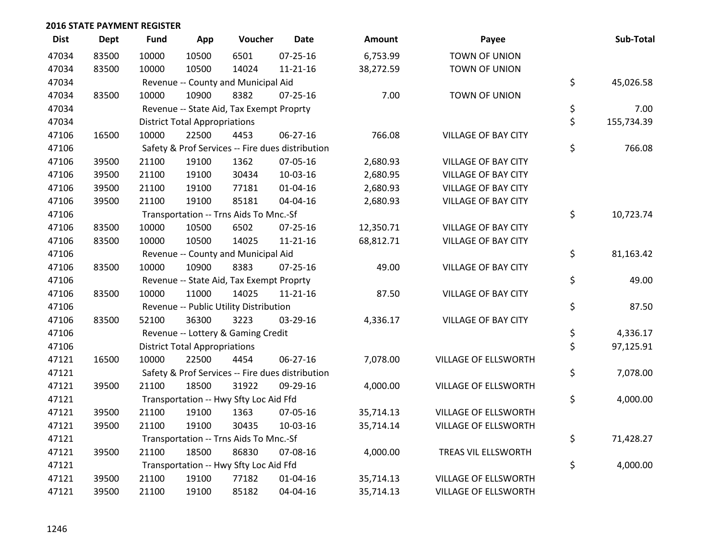| <b>Dist</b> | <b>Dept</b> | <b>Fund</b> | App                                  | Voucher                                  | <b>Date</b>                                      | Amount    | Payee                      | Sub-Total        |
|-------------|-------------|-------------|--------------------------------------|------------------------------------------|--------------------------------------------------|-----------|----------------------------|------------------|
| 47034       | 83500       | 10000       | 10500                                | 6501                                     | $07 - 25 - 16$                                   | 6,753.99  | TOWN OF UNION              |                  |
| 47034       | 83500       | 10000       | 10500                                | 14024                                    | $11 - 21 - 16$                                   | 38,272.59 | TOWN OF UNION              |                  |
| 47034       |             |             |                                      | Revenue -- County and Municipal Aid      |                                                  |           |                            | \$<br>45,026.58  |
| 47034       | 83500       | 10000       | 10900                                | 8382                                     | $07 - 25 - 16$                                   | 7.00      | TOWN OF UNION              |                  |
| 47034       |             |             |                                      | Revenue -- State Aid, Tax Exempt Proprty |                                                  |           |                            | \$<br>7.00       |
| 47034       |             |             | <b>District Total Appropriations</b> |                                          |                                                  |           |                            | \$<br>155,734.39 |
| 47106       | 16500       | 10000       | 22500                                | 4453                                     | 06-27-16                                         | 766.08    | <b>VILLAGE OF BAY CITY</b> |                  |
| 47106       |             |             |                                      |                                          | Safety & Prof Services -- Fire dues distribution |           |                            | \$<br>766.08     |
| 47106       | 39500       | 21100       | 19100                                | 1362                                     | 07-05-16                                         | 2,680.93  | <b>VILLAGE OF BAY CITY</b> |                  |
| 47106       | 39500       | 21100       | 19100                                | 30434                                    | 10-03-16                                         | 2,680.95  | <b>VILLAGE OF BAY CITY</b> |                  |
| 47106       | 39500       | 21100       | 19100                                | 77181                                    | 01-04-16                                         | 2,680.93  | <b>VILLAGE OF BAY CITY</b> |                  |
| 47106       | 39500       | 21100       | 19100                                | 85181                                    | 04-04-16                                         | 2,680.93  | VILLAGE OF BAY CITY        |                  |
| 47106       |             |             |                                      | Transportation -- Trns Aids To Mnc.-Sf   |                                                  |           |                            | \$<br>10,723.74  |
| 47106       | 83500       | 10000       | 10500                                | 6502                                     | $07 - 25 - 16$                                   | 12,350.71 | <b>VILLAGE OF BAY CITY</b> |                  |
| 47106       | 83500       | 10000       | 10500                                | 14025                                    | $11 - 21 - 16$                                   | 68,812.71 | <b>VILLAGE OF BAY CITY</b> |                  |
| 47106       |             |             |                                      | Revenue -- County and Municipal Aid      |                                                  |           |                            | \$<br>81,163.42  |
| 47106       | 83500       | 10000       | 10900                                | 8383                                     | $07 - 25 - 16$                                   | 49.00     | <b>VILLAGE OF BAY CITY</b> |                  |
| 47106       |             |             |                                      | Revenue -- State Aid, Tax Exempt Proprty |                                                  |           |                            | \$<br>49.00      |
| 47106       | 83500       | 10000       | 11000                                | 14025                                    | $11 - 21 - 16$                                   | 87.50     | VILLAGE OF BAY CITY        |                  |
| 47106       |             |             |                                      | Revenue -- Public Utility Distribution   |                                                  |           |                            | \$<br>87.50      |
| 47106       | 83500       | 52100       | 36300                                | 3223                                     | 03-29-16                                         | 4,336.17  | <b>VILLAGE OF BAY CITY</b> |                  |
| 47106       |             |             |                                      | Revenue -- Lottery & Gaming Credit       |                                                  |           |                            | \$<br>4,336.17   |
| 47106       |             |             | <b>District Total Appropriations</b> |                                          |                                                  |           |                            | \$<br>97,125.91  |
| 47121       | 16500       | 10000       | 22500                                | 4454                                     | 06-27-16                                         | 7,078.00  | VILLAGE OF ELLSWORTH       |                  |
| 47121       |             |             |                                      |                                          | Safety & Prof Services -- Fire dues distribution |           |                            | \$<br>7,078.00   |
| 47121       | 39500       | 21100       | 18500                                | 31922                                    | 09-29-16                                         | 4,000.00  | VILLAGE OF ELLSWORTH       |                  |
| 47121       |             |             |                                      | Transportation -- Hwy Sfty Loc Aid Ffd   |                                                  |           |                            | \$<br>4,000.00   |
| 47121       | 39500       | 21100       | 19100                                | 1363                                     | 07-05-16                                         | 35,714.13 | VILLAGE OF ELLSWORTH       |                  |
| 47121       | 39500       | 21100       | 19100                                | 30435                                    | 10-03-16                                         | 35,714.14 | VILLAGE OF ELLSWORTH       |                  |
| 47121       |             |             |                                      | Transportation -- Trns Aids To Mnc.-Sf   |                                                  |           |                            | \$<br>71,428.27  |
| 47121       | 39500       | 21100       | 18500                                | 86830                                    | 07-08-16                                         | 4,000.00  | TREAS VIL ELLSWORTH        |                  |
| 47121       |             |             |                                      | Transportation -- Hwy Sfty Loc Aid Ffd   |                                                  |           |                            | \$<br>4,000.00   |
| 47121       | 39500       | 21100       | 19100                                | 77182                                    | $01 - 04 - 16$                                   | 35,714.13 | VILLAGE OF ELLSWORTH       |                  |
| 47121       | 39500       | 21100       | 19100                                | 85182                                    | 04-04-16                                         | 35,714.13 | VILLAGE OF ELLSWORTH       |                  |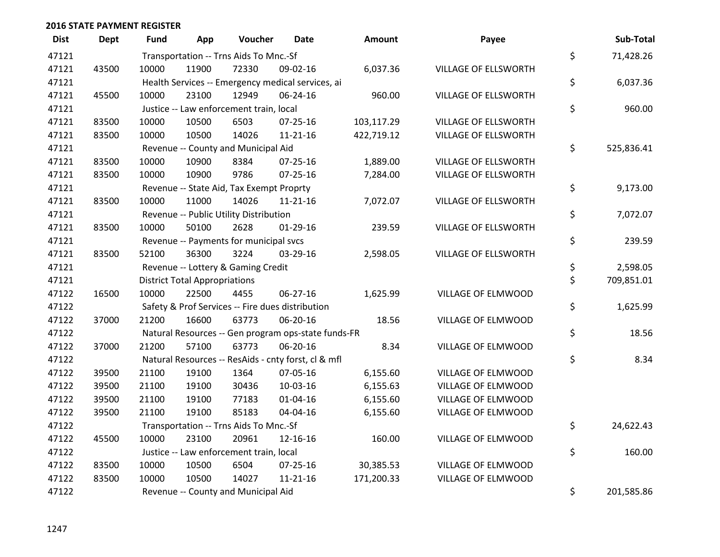| <b>Dist</b> | <b>Dept</b> | <b>Fund</b> | App                                  | Voucher                                             | <b>Date</b>    | <b>Amount</b> | Payee                       | Sub-Total        |
|-------------|-------------|-------------|--------------------------------------|-----------------------------------------------------|----------------|---------------|-----------------------------|------------------|
| 47121       |             |             |                                      | Transportation -- Trns Aids To Mnc.-Sf              |                |               |                             | \$<br>71,428.26  |
| 47121       | 43500       | 10000       | 11900                                | 72330                                               | 09-02-16       | 6,037.36      | <b>VILLAGE OF ELLSWORTH</b> |                  |
| 47121       |             |             |                                      | Health Services -- Emergency medical services, ai   |                |               |                             | \$<br>6,037.36   |
| 47121       | 45500       | 10000       | 23100                                | 12949                                               | 06-24-16       | 960.00        | VILLAGE OF ELLSWORTH        |                  |
| 47121       |             |             |                                      | Justice -- Law enforcement train, local             |                |               |                             | \$<br>960.00     |
| 47121       | 83500       | 10000       | 10500                                | 6503                                                | $07 - 25 - 16$ | 103,117.29    | VILLAGE OF ELLSWORTH        |                  |
| 47121       | 83500       | 10000       | 10500                                | 14026                                               | $11 - 21 - 16$ | 422,719.12    | VILLAGE OF ELLSWORTH        |                  |
| 47121       |             |             |                                      | Revenue -- County and Municipal Aid                 |                |               |                             | \$<br>525,836.41 |
| 47121       | 83500       | 10000       | 10900                                | 8384                                                | $07 - 25 - 16$ | 1,889.00      | VILLAGE OF ELLSWORTH        |                  |
| 47121       | 83500       | 10000       | 10900                                | 9786                                                | $07 - 25 - 16$ | 7,284.00      | VILLAGE OF ELLSWORTH        |                  |
| 47121       |             |             |                                      | Revenue -- State Aid, Tax Exempt Proprty            |                |               |                             | \$<br>9,173.00   |
| 47121       | 83500       | 10000       | 11000                                | 14026                                               | $11 - 21 - 16$ | 7,072.07      | VILLAGE OF ELLSWORTH        |                  |
| 47121       |             |             |                                      | Revenue -- Public Utility Distribution              |                |               |                             | \$<br>7,072.07   |
| 47121       | 83500       | 10000       | 50100                                | 2628                                                | $01-29-16$     | 239.59        | VILLAGE OF ELLSWORTH        |                  |
| 47121       |             |             |                                      | Revenue -- Payments for municipal svcs              |                |               |                             | \$<br>239.59     |
| 47121       | 83500       | 52100       | 36300                                | 3224                                                | 03-29-16       | 2,598.05      | VILLAGE OF ELLSWORTH        |                  |
| 47121       |             |             |                                      | Revenue -- Lottery & Gaming Credit                  |                |               |                             | \$<br>2,598.05   |
| 47121       |             |             | <b>District Total Appropriations</b> |                                                     |                |               |                             | \$<br>709,851.01 |
| 47122       | 16500       | 10000       | 22500                                | 4455                                                | 06-27-16       | 1,625.99      | VILLAGE OF ELMWOOD          |                  |
| 47122       |             |             |                                      | Safety & Prof Services -- Fire dues distribution    |                |               |                             | \$<br>1,625.99   |
| 47122       | 37000       | 21200       | 16600                                | 63773                                               | 06-20-16       | 18.56         | VILLAGE OF ELMWOOD          |                  |
| 47122       |             |             |                                      | Natural Resources -- Gen program ops-state funds-FR |                |               |                             | \$<br>18.56      |
| 47122       | 37000       | 21200       | 57100                                | 63773                                               | 06-20-16       | 8.34          | VILLAGE OF ELMWOOD          |                  |
| 47122       |             |             |                                      | Natural Resources -- ResAids - cnty forst, cl & mfl |                |               |                             | \$<br>8.34       |
| 47122       | 39500       | 21100       | 19100                                | 1364                                                | 07-05-16       | 6,155.60      | VILLAGE OF ELMWOOD          |                  |
| 47122       | 39500       | 21100       | 19100                                | 30436                                               | 10-03-16       | 6,155.63      | VILLAGE OF ELMWOOD          |                  |
| 47122       | 39500       | 21100       | 19100                                | 77183                                               | 01-04-16       | 6,155.60      | VILLAGE OF ELMWOOD          |                  |
| 47122       | 39500       | 21100       | 19100                                | 85183                                               | 04-04-16       | 6,155.60      | VILLAGE OF ELMWOOD          |                  |
| 47122       |             |             |                                      | Transportation -- Trns Aids To Mnc.-Sf              |                |               |                             | \$<br>24,622.43  |
| 47122       | 45500       | 10000       | 23100                                | 20961                                               | 12-16-16       | 160.00        | VILLAGE OF ELMWOOD          |                  |
| 47122       |             |             |                                      | Justice -- Law enforcement train, local             |                |               |                             | \$<br>160.00     |
| 47122       | 83500       | 10000       | 10500                                | 6504                                                | $07 - 25 - 16$ | 30,385.53     | VILLAGE OF ELMWOOD          |                  |
| 47122       | 83500       | 10000       | 10500                                | 14027                                               | $11 - 21 - 16$ | 171,200.33    | VILLAGE OF ELMWOOD          |                  |
| 47122       |             |             |                                      | Revenue -- County and Municipal Aid                 |                |               |                             | \$<br>201,585.86 |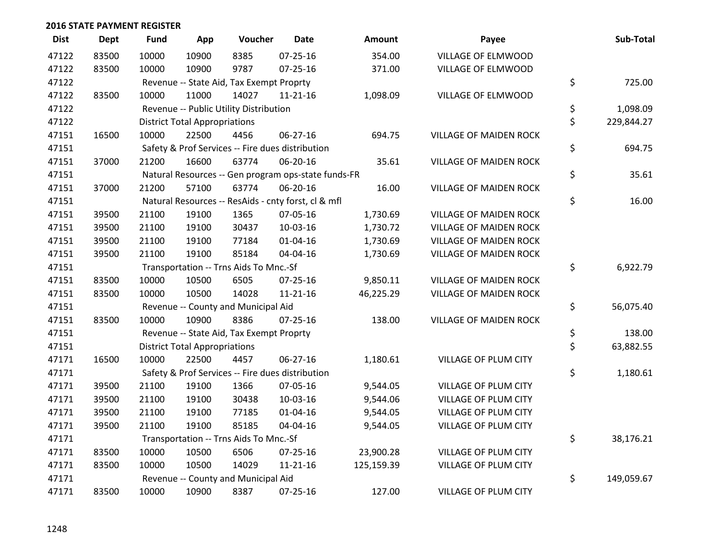| <b>Dist</b> | <b>Dept</b> | <b>Fund</b> | App                                  | Voucher                                             | <b>Date</b>    | <b>Amount</b> | Payee                         | Sub-Total        |
|-------------|-------------|-------------|--------------------------------------|-----------------------------------------------------|----------------|---------------|-------------------------------|------------------|
| 47122       | 83500       | 10000       | 10900                                | 8385                                                | $07 - 25 - 16$ | 354.00        | VILLAGE OF ELMWOOD            |                  |
| 47122       | 83500       | 10000       | 10900                                | 9787                                                | $07 - 25 - 16$ | 371.00        | VILLAGE OF ELMWOOD            |                  |
| 47122       |             |             |                                      | Revenue -- State Aid, Tax Exempt Proprty            |                |               |                               | \$<br>725.00     |
| 47122       | 83500       | 10000       | 11000                                | 14027                                               | 11-21-16       | 1,098.09      | VILLAGE OF ELMWOOD            |                  |
| 47122       |             |             |                                      | Revenue -- Public Utility Distribution              |                |               |                               | \$<br>1,098.09   |
| 47122       |             |             | <b>District Total Appropriations</b> |                                                     |                |               |                               | \$<br>229,844.27 |
| 47151       | 16500       | 10000       | 22500                                | 4456                                                | $06 - 27 - 16$ | 694.75        | <b>VILLAGE OF MAIDEN ROCK</b> |                  |
| 47151       |             |             |                                      | Safety & Prof Services -- Fire dues distribution    |                |               |                               | \$<br>694.75     |
| 47151       | 37000       | 21200       | 16600                                | 63774                                               | 06-20-16       | 35.61         | VILLAGE OF MAIDEN ROCK        |                  |
| 47151       |             |             |                                      | Natural Resources -- Gen program ops-state funds-FR |                |               |                               | \$<br>35.61      |
| 47151       | 37000       | 21200       | 57100                                | 63774                                               | 06-20-16       | 16.00         | <b>VILLAGE OF MAIDEN ROCK</b> |                  |
| 47151       |             |             |                                      | Natural Resources -- ResAids - cnty forst, cl & mfl |                |               |                               | \$<br>16.00      |
| 47151       | 39500       | 21100       | 19100                                | 1365                                                | 07-05-16       | 1,730.69      | <b>VILLAGE OF MAIDEN ROCK</b> |                  |
| 47151       | 39500       | 21100       | 19100                                | 30437                                               | 10-03-16       | 1,730.72      | <b>VILLAGE OF MAIDEN ROCK</b> |                  |
| 47151       | 39500       | 21100       | 19100                                | 77184                                               | $01 - 04 - 16$ | 1,730.69      | VILLAGE OF MAIDEN ROCK        |                  |
| 47151       | 39500       | 21100       | 19100                                | 85184                                               | 04-04-16       | 1,730.69      | VILLAGE OF MAIDEN ROCK        |                  |
| 47151       |             |             |                                      | Transportation -- Trns Aids To Mnc.-Sf              |                |               |                               | \$<br>6,922.79   |
| 47151       | 83500       | 10000       | 10500                                | 6505                                                | $07 - 25 - 16$ | 9,850.11      | <b>VILLAGE OF MAIDEN ROCK</b> |                  |
| 47151       | 83500       | 10000       | 10500                                | 14028                                               | $11 - 21 - 16$ | 46,225.29     | <b>VILLAGE OF MAIDEN ROCK</b> |                  |
| 47151       |             |             |                                      | Revenue -- County and Municipal Aid                 |                |               |                               | \$<br>56,075.40  |
| 47151       | 83500       | 10000       | 10900                                | 8386                                                | $07 - 25 - 16$ | 138.00        | VILLAGE OF MAIDEN ROCK        |                  |
| 47151       |             |             |                                      | Revenue -- State Aid, Tax Exempt Proprty            |                |               |                               | \$<br>138.00     |
| 47151       |             |             | <b>District Total Appropriations</b> |                                                     |                |               |                               | \$<br>63,882.55  |
| 47171       | 16500       | 10000       | 22500                                | 4457                                                | 06-27-16       | 1,180.61      | VILLAGE OF PLUM CITY          |                  |
| 47171       |             |             |                                      | Safety & Prof Services -- Fire dues distribution    |                |               |                               | \$<br>1,180.61   |
| 47171       | 39500       | 21100       | 19100                                | 1366                                                | 07-05-16       | 9,544.05      | VILLAGE OF PLUM CITY          |                  |
| 47171       | 39500       | 21100       | 19100                                | 30438                                               | 10-03-16       | 9,544.06      | VILLAGE OF PLUM CITY          |                  |
| 47171       | 39500       | 21100       | 19100                                | 77185                                               | 01-04-16       | 9,544.05      | VILLAGE OF PLUM CITY          |                  |
| 47171       | 39500       | 21100       | 19100                                | 85185                                               | 04-04-16       | 9,544.05      | VILLAGE OF PLUM CITY          |                  |
| 47171       |             |             |                                      | Transportation -- Trns Aids To Mnc.-Sf              |                |               |                               | \$<br>38,176.21  |
| 47171       | 83500       | 10000       | 10500                                | 6506                                                | 07-25-16       | 23,900.28     | VILLAGE OF PLUM CITY          |                  |
| 47171       | 83500       | 10000       | 10500                                | 14029                                               | 11-21-16       | 125,159.39    | VILLAGE OF PLUM CITY          |                  |
| 47171       |             |             |                                      | Revenue -- County and Municipal Aid                 |                |               |                               | \$<br>149,059.67 |
| 47171       | 83500       | 10000       | 10900                                | 8387                                                | $07 - 25 - 16$ | 127.00        | VILLAGE OF PLUM CITY          |                  |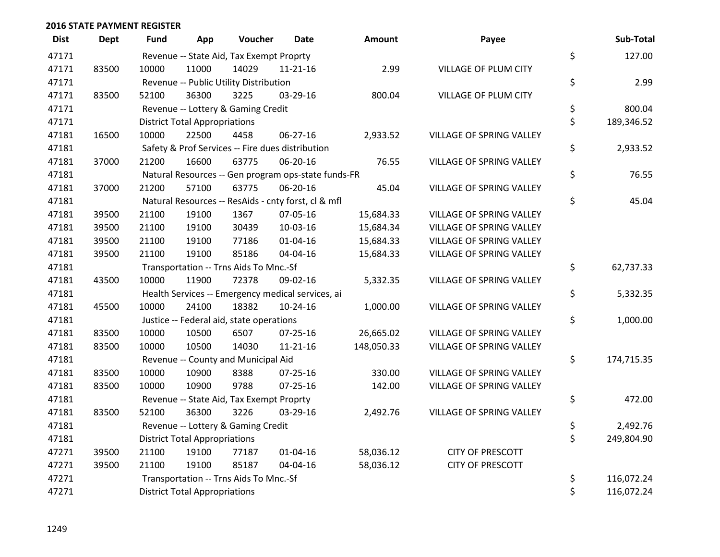| <b>Dist</b> | <b>Dept</b> | Fund  | App                                  | Voucher                                          | <b>Date</b>                                         | <b>Amount</b> | Payee                    | Sub-Total        |
|-------------|-------------|-------|--------------------------------------|--------------------------------------------------|-----------------------------------------------------|---------------|--------------------------|------------------|
| 47171       |             |       |                                      | Revenue -- State Aid, Tax Exempt Proprty         |                                                     |               |                          | \$<br>127.00     |
| 47171       | 83500       | 10000 | 11000                                | 14029                                            | $11 - 21 - 16$                                      | 2.99          | VILLAGE OF PLUM CITY     |                  |
| 47171       |             |       |                                      | Revenue -- Public Utility Distribution           |                                                     |               |                          | \$<br>2.99       |
| 47171       | 83500       | 52100 | 36300                                | 3225                                             | 03-29-16                                            | 800.04        | VILLAGE OF PLUM CITY     |                  |
| 47171       |             |       |                                      | Revenue -- Lottery & Gaming Credit               |                                                     |               |                          | \$<br>800.04     |
| 47171       |             |       | <b>District Total Appropriations</b> |                                                  |                                                     |               |                          | \$<br>189,346.52 |
| 47181       | 16500       | 10000 | 22500                                | 4458                                             | 06-27-16                                            | 2,933.52      | VILLAGE OF SPRING VALLEY |                  |
| 47181       |             |       |                                      | Safety & Prof Services -- Fire dues distribution |                                                     |               |                          | \$<br>2,933.52   |
| 47181       | 37000       | 21200 | 16600                                | 63775                                            | 06-20-16                                            | 76.55         | VILLAGE OF SPRING VALLEY |                  |
| 47181       |             |       |                                      |                                                  | Natural Resources -- Gen program ops-state funds-FR |               |                          | \$<br>76.55      |
| 47181       | 37000       | 21200 | 57100                                | 63775                                            | 06-20-16                                            | 45.04         | VILLAGE OF SPRING VALLEY |                  |
| 47181       |             |       |                                      |                                                  | Natural Resources -- ResAids - cnty forst, cl & mfl |               |                          | \$<br>45.04      |
| 47181       | 39500       | 21100 | 19100                                | 1367                                             | 07-05-16                                            | 15,684.33     | VILLAGE OF SPRING VALLEY |                  |
| 47181       | 39500       | 21100 | 19100                                | 30439                                            | 10-03-16                                            | 15,684.34     | VILLAGE OF SPRING VALLEY |                  |
| 47181       | 39500       | 21100 | 19100                                | 77186                                            | $01 - 04 - 16$                                      | 15,684.33     | VILLAGE OF SPRING VALLEY |                  |
| 47181       | 39500       | 21100 | 19100                                | 85186                                            | 04-04-16                                            | 15,684.33     | VILLAGE OF SPRING VALLEY |                  |
| 47181       |             |       |                                      | Transportation -- Trns Aids To Mnc.-Sf           |                                                     |               |                          | \$<br>62,737.33  |
| 47181       | 43500       | 10000 | 11900                                | 72378                                            | 09-02-16                                            | 5,332.35      | VILLAGE OF SPRING VALLEY |                  |
| 47181       |             |       |                                      |                                                  | Health Services -- Emergency medical services, ai   |               |                          | \$<br>5,332.35   |
| 47181       | 45500       | 10000 | 24100                                | 18382                                            | 10-24-16                                            | 1,000.00      | VILLAGE OF SPRING VALLEY |                  |
| 47181       |             |       |                                      | Justice -- Federal aid, state operations         |                                                     |               |                          | \$<br>1,000.00   |
| 47181       | 83500       | 10000 | 10500                                | 6507                                             | $07 - 25 - 16$                                      | 26,665.02     | VILLAGE OF SPRING VALLEY |                  |
| 47181       | 83500       | 10000 | 10500                                | 14030                                            | 11-21-16                                            | 148,050.33    | VILLAGE OF SPRING VALLEY |                  |
| 47181       |             |       |                                      | Revenue -- County and Municipal Aid              |                                                     |               |                          | \$<br>174,715.35 |
| 47181       | 83500       | 10000 | 10900                                | 8388                                             | $07 - 25 - 16$                                      | 330.00        | VILLAGE OF SPRING VALLEY |                  |
| 47181       | 83500       | 10000 | 10900                                | 9788                                             | $07 - 25 - 16$                                      | 142.00        | VILLAGE OF SPRING VALLEY |                  |
| 47181       |             |       |                                      | Revenue -- State Aid, Tax Exempt Proprty         |                                                     |               |                          | \$<br>472.00     |
| 47181       | 83500       | 52100 | 36300                                | 3226                                             | 03-29-16                                            | 2,492.76      | VILLAGE OF SPRING VALLEY |                  |
| 47181       |             |       |                                      | Revenue -- Lottery & Gaming Credit               |                                                     |               |                          | \$<br>2,492.76   |
| 47181       |             |       | <b>District Total Appropriations</b> |                                                  |                                                     |               |                          | \$<br>249,804.90 |
| 47271       | 39500       | 21100 | 19100                                | 77187                                            | $01 - 04 - 16$                                      | 58,036.12     | <b>CITY OF PRESCOTT</b>  |                  |
| 47271       | 39500       | 21100 | 19100                                | 85187                                            | 04-04-16                                            | 58,036.12     | <b>CITY OF PRESCOTT</b>  |                  |
| 47271       |             |       |                                      | Transportation -- Trns Aids To Mnc.-Sf           |                                                     |               |                          | \$<br>116,072.24 |
| 47271       |             |       | <b>District Total Appropriations</b> |                                                  |                                                     |               |                          | \$<br>116,072.24 |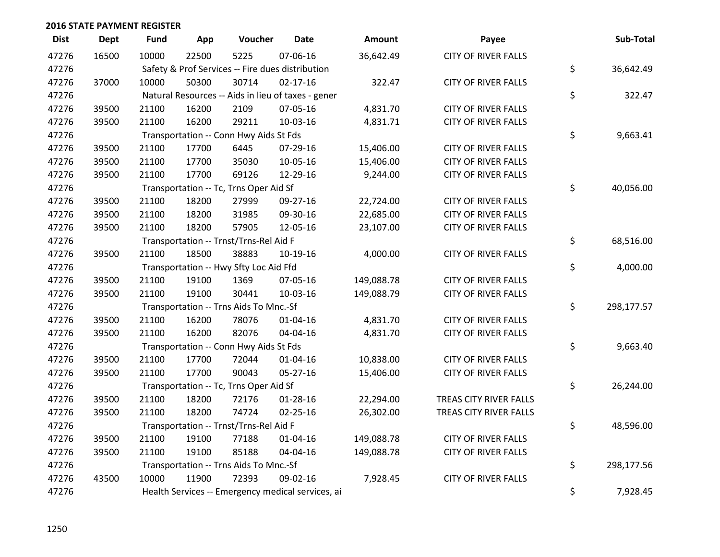| <b>Dist</b> | <b>Dept</b> | <b>Fund</b> | App   | Voucher                                | <b>Date</b>                                        | Amount     | Payee                      | Sub-Total        |
|-------------|-------------|-------------|-------|----------------------------------------|----------------------------------------------------|------------|----------------------------|------------------|
| 47276       | 16500       | 10000       | 22500 | 5225                                   | 07-06-16                                           | 36,642.49  | <b>CITY OF RIVER FALLS</b> |                  |
| 47276       |             |             |       |                                        | Safety & Prof Services -- Fire dues distribution   |            |                            | \$<br>36,642.49  |
| 47276       | 37000       | 10000       | 50300 | 30714                                  | $02 - 17 - 16$                                     | 322.47     | <b>CITY OF RIVER FALLS</b> |                  |
| 47276       |             |             |       |                                        | Natural Resources -- Aids in lieu of taxes - gener |            |                            | \$<br>322.47     |
| 47276       | 39500       | 21100       | 16200 | 2109                                   | 07-05-16                                           | 4,831.70   | <b>CITY OF RIVER FALLS</b> |                  |
| 47276       | 39500       | 21100       | 16200 | 29211                                  | 10-03-16                                           | 4,831.71   | <b>CITY OF RIVER FALLS</b> |                  |
| 47276       |             |             |       | Transportation -- Conn Hwy Aids St Fds |                                                    |            |                            | \$<br>9,663.41   |
| 47276       | 39500       | 21100       | 17700 | 6445                                   | 07-29-16                                           | 15,406.00  | <b>CITY OF RIVER FALLS</b> |                  |
| 47276       | 39500       | 21100       | 17700 | 35030                                  | 10-05-16                                           | 15,406.00  | <b>CITY OF RIVER FALLS</b> |                  |
| 47276       | 39500       | 21100       | 17700 | 69126                                  | 12-29-16                                           | 9,244.00   | <b>CITY OF RIVER FALLS</b> |                  |
| 47276       |             |             |       | Transportation -- Tc, Trns Oper Aid Sf |                                                    |            |                            | \$<br>40,056.00  |
| 47276       | 39500       | 21100       | 18200 | 27999                                  | 09-27-16                                           | 22,724.00  | <b>CITY OF RIVER FALLS</b> |                  |
| 47276       | 39500       | 21100       | 18200 | 31985                                  | 09-30-16                                           | 22,685.00  | <b>CITY OF RIVER FALLS</b> |                  |
| 47276       | 39500       | 21100       | 18200 | 57905                                  | 12-05-16                                           | 23,107.00  | <b>CITY OF RIVER FALLS</b> |                  |
| 47276       |             |             |       | Transportation -- Trnst/Trns-Rel Aid F |                                                    |            |                            | \$<br>68,516.00  |
| 47276       | 39500       | 21100       | 18500 | 38883                                  | 10-19-16                                           | 4,000.00   | <b>CITY OF RIVER FALLS</b> |                  |
| 47276       |             |             |       | Transportation -- Hwy Sfty Loc Aid Ffd |                                                    |            |                            | \$<br>4,000.00   |
| 47276       | 39500       | 21100       | 19100 | 1369                                   | 07-05-16                                           | 149,088.78 | <b>CITY OF RIVER FALLS</b> |                  |
| 47276       | 39500       | 21100       | 19100 | 30441                                  | 10-03-16                                           | 149,088.79 | <b>CITY OF RIVER FALLS</b> |                  |
| 47276       |             |             |       | Transportation -- Trns Aids To Mnc.-Sf |                                                    |            |                            | \$<br>298,177.57 |
| 47276       | 39500       | 21100       | 16200 | 78076                                  | $01 - 04 - 16$                                     | 4,831.70   | <b>CITY OF RIVER FALLS</b> |                  |
| 47276       | 39500       | 21100       | 16200 | 82076                                  | 04-04-16                                           | 4,831.70   | <b>CITY OF RIVER FALLS</b> |                  |
| 47276       |             |             |       | Transportation -- Conn Hwy Aids St Fds |                                                    |            |                            | \$<br>9,663.40   |
| 47276       | 39500       | 21100       | 17700 | 72044                                  | $01 - 04 - 16$                                     | 10,838.00  | <b>CITY OF RIVER FALLS</b> |                  |
| 47276       | 39500       | 21100       | 17700 | 90043                                  | 05-27-16                                           | 15,406.00  | <b>CITY OF RIVER FALLS</b> |                  |
| 47276       |             |             |       | Transportation -- Tc, Trns Oper Aid Sf |                                                    |            |                            | \$<br>26,244.00  |
| 47276       | 39500       | 21100       | 18200 | 72176                                  | $01 - 28 - 16$                                     | 22,294.00  | TREAS CITY RIVER FALLS     |                  |
| 47276       | 39500       | 21100       | 18200 | 74724                                  | $02 - 25 - 16$                                     | 26,302.00  | TREAS CITY RIVER FALLS     |                  |
| 47276       |             |             |       | Transportation -- Trnst/Trns-Rel Aid F |                                                    |            |                            | \$<br>48,596.00  |
| 47276       | 39500       | 21100       | 19100 | 77188                                  | $01 - 04 - 16$                                     | 149,088.78 | <b>CITY OF RIVER FALLS</b> |                  |
| 47276       | 39500       | 21100       | 19100 | 85188                                  | 04-04-16                                           | 149,088.78 | <b>CITY OF RIVER FALLS</b> |                  |
| 47276       |             |             |       | Transportation -- Trns Aids To Mnc.-Sf |                                                    |            |                            | \$<br>298,177.56 |
| 47276       | 43500       | 10000       | 11900 | 72393                                  | 09-02-16                                           | 7,928.45   | <b>CITY OF RIVER FALLS</b> |                  |
| 47276       |             |             |       |                                        | Health Services -- Emergency medical services, ai  |            |                            | \$<br>7,928.45   |